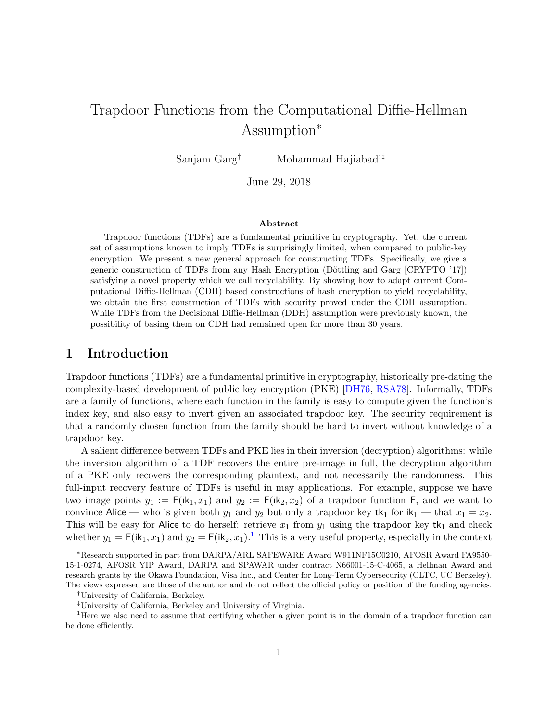# <span id="page-0-1"></span>Trapdoor Functions from the Computational Diffie-Hellman Assumption<sup>∗</sup>

Sanjam Garg† Mohammad Hajiabadi‡

June 29, 2018

#### Abstract

Trapdoor functions (TDFs) are a fundamental primitive in cryptography. Yet, the current set of assumptions known to imply TDFs is surprisingly limited, when compared to public-key encryption. We present a new general approach for constructing TDFs. Specifically, we give a generic construction of TDFs from any Hash Encryption (Döttling and Garg [CRYPTO '17]) satisfying a novel property which we call recyclability. By showing how to adapt current Computational Diffie-Hellman (CDH) based constructions of hash encryption to yield recyclability, we obtain the first construction of TDFs with security proved under the CDH assumption. While TDFs from the Decisional Diffie-Hellman (DDH) assumption were previously known, the possibility of basing them on CDH had remained open for more than 30 years.

# 1 Introduction

Trapdoor functions (TDFs) are a fundamental primitive in cryptography, historically pre-dating the complexity-based development of public key encryption (PKE) [\[DH76,](#page-24-0) [RSA78\]](#page-26-0). Informally, TDFs are a family of functions, where each function in the family is easy to compute given the function's index key, and also easy to invert given an associated trapdoor key. The security requirement is that a randomly chosen function from the family should be hard to invert without knowledge of a trapdoor key.

A salient difference between TDFs and PKE lies in their inversion (decryption) algorithms: while the inversion algorithm of a TDF recovers the entire pre-image in full, the decryption algorithm of a PKE only recovers the corresponding plaintext, and not necessarily the randomness. This full-input recovery feature of TDFs is useful in may applications. For example, suppose we have two image points  $y_1 := F(ik_1, x_1)$  and  $y_2 := F(ik_2, x_2)$  of a trapdoor function F, and we want to convince Alice — who is given both  $y_1$  and  $y_2$  but only a trapdoor key tk<sub>1</sub> for ik<sub>1</sub> — that  $x_1 = x_2$ . This will be easy for Alice to do herself: retrieve  $x_1$  from  $y_1$  using the trapdoor key tk<sub>1</sub> and check whether  $y_1 = F(i\mathbf{k}_1, x_1)$  $y_1 = F(i\mathbf{k}_1, x_1)$  $y_1 = F(i\mathbf{k}_1, x_1)$  and  $y_2 = F(i\mathbf{k}_2, x_1)$ .<sup>1</sup> This is a very useful property, especially in the context

<sup>∗</sup>Research supported in part from DARPA/ARL SAFEWARE Award W911NF15C0210, AFOSR Award FA9550- 15-1-0274, AFOSR YIP Award, DARPA and SPAWAR under contract N66001-15-C-4065, a Hellman Award and research grants by the Okawa Foundation, Visa Inc., and Center for Long-Term Cybersecurity (CLTC, UC Berkeley). The views expressed are those of the author and do not reflect the official policy or position of the funding agencies.

<sup>†</sup>University of California, Berkeley.

<span id="page-0-0"></span><sup>‡</sup>University of California, Berkeley and University of Virginia.

<sup>&</sup>lt;sup>1</sup>Here we also need to assume that certifying whether a given point is in the domain of a trapdoor function can be done efficiently.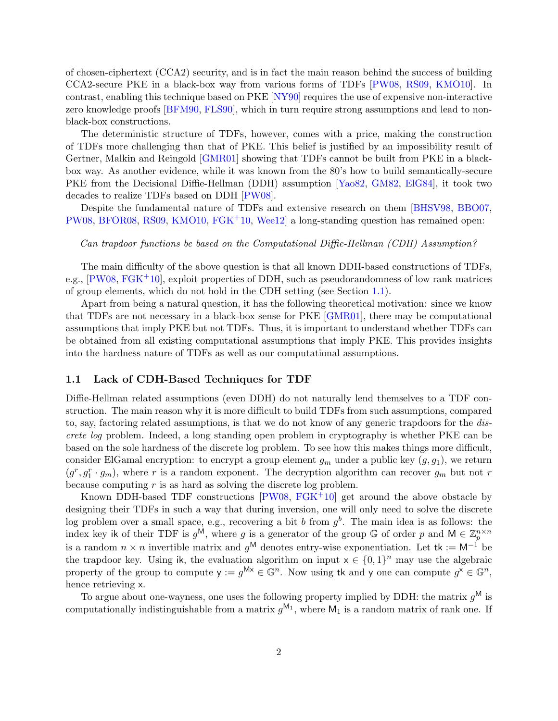<span id="page-1-1"></span>of chosen-ciphertext (CCA2) security, and is in fact the main reason behind the success of building CCA2-secure PKE in a black-box way from various forms of TDFs [\[PW08,](#page-25-0) [RS09,](#page-25-1) [KMO10\]](#page-25-2). In contrast, enabling this technique based on PKE [\[NY90\]](#page-25-3) requires the use of expensive non-interactive zero knowledge proofs [\[BFM90,](#page-23-0) [FLS90\]](#page-25-4), which in turn require strong assumptions and lead to nonblack-box constructions.

The deterministic structure of TDFs, however, comes with a price, making the construction of TDFs more challenging than that of PKE. This belief is justified by an impossibility result of Gertner, Malkin and Reingold [\[GMR01\]](#page-25-5) showing that TDFs cannot be built from PKE in a blackbox way. As another evidence, while it was known from the 80's how to build semantically-secure PKE from the Decisional Diffie-Hellman (DDH) assumption [\[Yao82,](#page-26-1) [GM82,](#page-25-6) [ElG84\]](#page-24-1), it took two decades to realize TDFs based on DDH [\[PW08\]](#page-25-0).

Despite the fundamental nature of TDFs and extensive research on them [\[BHSV98,](#page-24-2) [BBO07,](#page-23-1) [PW08,](#page-25-0) [BFOR08,](#page-24-3) [RS09,](#page-25-1) [KMO10,](#page-25-2) [FGK](#page-25-7)+10, [Wee12\]](#page-26-2) a long-standing question has remained open:

Can trapdoor functions be based on the Computational Diffie-Hellman (CDH) Assumption?

The main difficulty of the above question is that all known DDH-based constructions of TDFs, e.g., [\[PW08,](#page-25-0) [FGK](#page-25-7)+10], exploit properties of DDH, such as pseudorandomness of low rank matrices of group elements, which do not hold in the CDH setting (see Section [1.1\)](#page-1-0).

Apart from being a natural question, it has the following theoretical motivation: since we know that TDFs are not necessary in a black-box sense for PKE [\[GMR01\]](#page-25-5), there may be computational assumptions that imply PKE but not TDFs. Thus, it is important to understand whether TDFs can be obtained from all existing computational assumptions that imply PKE. This provides insights into the hardness nature of TDFs as well as our computational assumptions.

### <span id="page-1-0"></span>1.1 Lack of CDH-Based Techniques for TDF

Diffie-Hellman related assumptions (even DDH) do not naturally lend themselves to a TDF construction. The main reason why it is more difficult to build TDFs from such assumptions, compared to, say, factoring related assumptions, is that we do not know of any generic trapdoors for the discrete log problem. Indeed, a long standing open problem in cryptography is whether PKE can be based on the sole hardness of the discrete log problem. To see how this makes things more difficult, consider ElGamal encryption: to encrypt a group element  $g_m$  under a public key  $(g, g_1)$ , we return  $(g^r, g_1^r \cdot g_m)$ , where r is a random exponent. The decryption algorithm can recover  $g_m$  but not r because computing  $r$  is as hard as solving the discrete log problem.

Known DDH-based TDF constructions [\[PW08,](#page-25-0) [FGK](#page-25-7)+10] get around the above obstacle by designing their TDFs in such a way that during inversion, one will only need to solve the discrete log problem over a small space, e.g., recovering a bit b from  $g^b$ . The main idea is as follows: the index key ik of their TDF is  $g^{\mathsf{M}}$ , where g is a generator of the group G of order p and  $\mathsf{M} \in \mathbb{Z}_p^{n \times n}$ is a random  $n \times n$  invertible matrix and  $g^{\mathsf{M}}$  denotes entry-wise exponentiation. Let tk := M<sup>-1</sup> be the trapdoor key. Using ik, the evaluation algorithm on input  $x \in \{0,1\}^n$  may use the algebraic property of the group to compute  $y := g^{Mx} \in \mathbb{G}^n$ . Now using tk and y one can compute  $g^x \in \mathbb{G}^n$ , hence retrieving x.

To argue about one-wayness, one uses the following property implied by DDH: the matrix  $g^{\mathsf{M}}$  is computationally indistinguishable from a matrix  $g^{M_1}$ , where  $M_1$  is a random matrix of rank one. If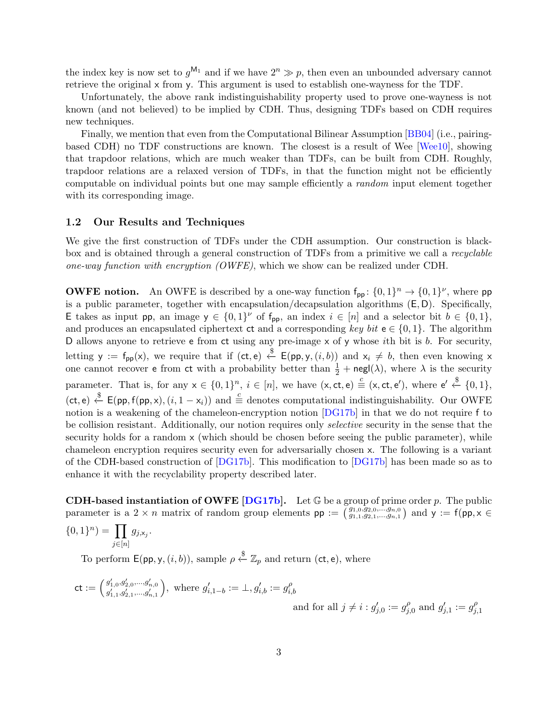<span id="page-2-0"></span>the index key is now set to  $g^{\mathsf{M}_{1}}$  and if we have  $2^{n} \gg p$ , then even an unbounded adversary cannot retrieve the original x from y. This argument is used to establish one-wayness for the TDF.

Unfortunately, the above rank indistinguishability property used to prove one-wayness is not known (and not believed) to be implied by CDH. Thus, designing TDFs based on CDH requires new techniques.

Finally, we mention that even from the Computational Bilinear Assumption [\[BB04\]](#page-23-2) (i.e., pairingbased CDH) no TDF constructions are known. The closest is a result of Wee [\[Wee10\]](#page-26-3), showing that trapdoor relations, which are much weaker than TDFs, can be built from CDH. Roughly, trapdoor relations are a relaxed version of TDFs, in that the function might not be efficiently computable on individual points but one may sample efficiently a random input element together with its corresponding image.

#### 1.2 Our Results and Techniques

We give the first construction of TDFs under the CDH assumption. Our construction is blackbox and is obtained through a general construction of TDFs from a primitive we call a recyclable one-way function with encryption (OWFE), which we show can be realized under CDH.

**OWFE notion.** An OWFE is described by a one-way function  $f_{pp}$ :  $\{0,1\}^n \rightarrow \{0,1\}^{\nu}$ , where pp is a public parameter, together with encapsulation/decapsulation algorithms (E, D). Specifically, E takes as input pp, an image  $y \in \{0,1\}^{\nu}$  of  $f_{\text{pp}}$ , an index  $i \in [n]$  and a selector bit  $b \in \{0,1\}$ , and produces an encapsulated ciphertext ct and a corresponding key bit  $e \in \{0, 1\}$ . The algorithm D allows anyone to retrieve  $e$  from ct using any pre-image x of y whose *i*th bit is *b*. For security, letting y :=  $f_{pp}(x)$ , we require that if  $(ct, e) \stackrel{\$}{\leftarrow} E(pp, y, (i, b))$  and  $x_i \neq b$ , then even knowing x one cannot recover **e** from ct with a probability better than  $\frac{1}{2}$  + negl( $\lambda$ ), where  $\lambda$  is the security parameter. That is, for any  $x \in \{0,1\}^n$ ,  $i \in [n]$ , we have  $(x, ct, e) \equiv (x, ct, e')$ , where  $e' \stackrel{\$}{\leftarrow} \{0,1\}$ ,  $(ct, e) \stackrel{\$}{\leftarrow} E(pp, f(pp, x), (i, 1 - x_i))$  and  $\stackrel{c}{\equiv}$  denotes computational indistinguishability. Our OWFE notion is a weakening of the chameleon-encryption notion [\[DG17b\]](#page-24-4) in that we do not require f to be collision resistant. Additionally, our notion requires only *selective* security in the sense that the security holds for a random x (which should be chosen before seeing the public parameter), while chameleon encryption requires security even for adversarially chosen x. The following is a variant of the CDH-based construction of [\[DG17b\]](#page-24-4). This modification to [\[DG17b\]](#page-24-4) has been made so as to enhance it with the recyclability property described later.

**CDH-based instantiation of OWFE [\[DG17b\]](#page-24-4).** Let  $\mathbb{G}$  be a group of prime order p. The public parameter is a  $2 \times n$  matrix of random group elements  $pp := \left(\begin{matrix} g_{1,0}, g_{2,0}, \ldots, g_{n,0} \\ g_{1,1}, g_{2,1}, \ldots, g_{n,1} \end{matrix}\right)$  and  $y := f(pp, x \in$ 

$$
\{0,1\}^n) = \prod_{j \in [n]} g_{j,x_j}.
$$

To perform  $\mathsf{E}(\mathsf{pp}, \mathsf{y}, (i, b)),$  sample  $\rho \overset{\$}{\leftarrow} \mathbb{Z}_p$  and return (ct, e), where

$$
\mathsf{ct} := \left( \begin{smallmatrix} g'_{1,0}, g'_{2,0}, ..., g'_{n,0} \\ g'_{1,1}, g'_{2,1}, ..., g'_{n,1} \end{smallmatrix} \right), \text{ where } g'_{i,1-b} := \bot, g'_{i,b} := g^\rho_{i,b}
$$
  
and for all  $j \neq i : g'_{j,0} := g^\rho_{j,0}$  and  $g'_{j,1} := g^\rho_{j,1}$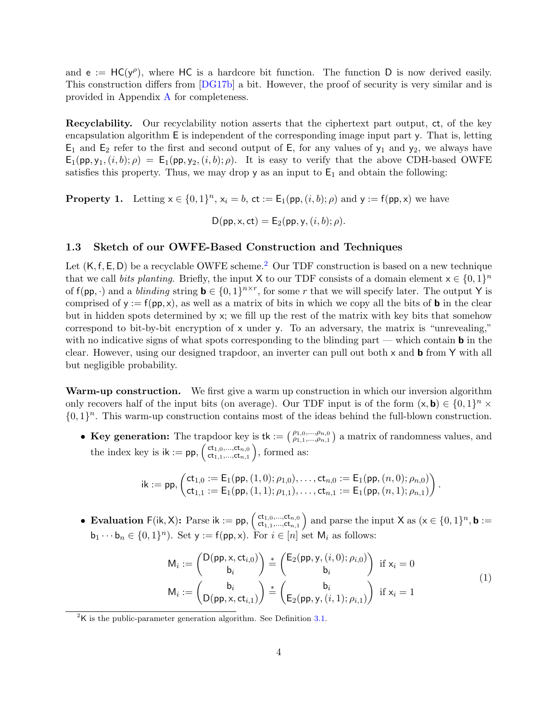<span id="page-3-2"></span>and  $e := HC(y^{\rho})$ , where HC is a hardcore bit function. The function D is now derived easily. This construction differs from [\[DG17b\]](#page-24-4) a bit. However, the proof of security is very similar and is provided in Appendix [A](#page-26-4) for completeness.

Recyclability. Our recyclability notion asserts that the ciphertext part output, ct, of the key encapsulation algorithm E is independent of the corresponding image input part y. That is, letting  $E_1$  and  $E_2$  refer to the first and second output of E, for any values of  $y_1$  and  $y_2$ , we always have  $E_1(pp, y_1, (i, b); \rho) = E_1(pp, y_2, (i, b); \rho)$ . It is easy to verify that the above CDH-based OWFE satisfies this property. Thus, we may drop  $y$  as an input to  $E_1$  and obtain the following:

**Property 1.** Letting  $x \in \{0,1\}^n$ ,  $x_i = b$ ,  $ct := E_1(p, p(i, b); \rho)$  and  $y := f(p, x)$  we have

$$
D(\mathsf{pp}, \mathsf{x}, \mathsf{ct}) = \mathsf{E}_2(\mathsf{pp}, \mathsf{y}, (i, b); \rho).
$$

### 1.3 Sketch of our OWFE-Based Construction and Techniques

Let  $(K, f, E, D)$  be a recyclable OWFE scheme.<sup>[2](#page-3-0)</sup> Our TDF construction is based on a new technique that we call *bits planting*. Briefly, the input X to our TDF consists of a domain element  $x \in \{0, 1\}^n$ of  $f(p, \cdot)$  and a *blinding* string  $\mathbf{b} \in \{0, 1\}^{n \times r}$ , for some r that we will specify later. The output Y is comprised of  $y := f(p, x)$ , as well as a matrix of bits in which we copy all the bits of **b** in the clear but in hidden spots determined by x; we fill up the rest of the matrix with key bits that somehow correspond to bit-by-bit encryption of  $x$  under  $y$ . To an adversary, the matrix is "unrevealing," with no indicative signs of what spots corresponding to the blinding part — which contain **b** in the clear. However, using our designed trapdoor, an inverter can pull out both  $\times$  and  **from**  $\times$  **with all** but negligible probability.

Warm-up construction. We first give a warm up construction in which our inversion algorithm only recovers half of the input bits (on average). Our TDF input is of the form  $(x, b) \in \{0, 1\}^n \times$  $\{0,1\}^n$ . This warm-up construction contains most of the ideas behind the full-blown construction.

• Key generation: The trapdoor key is tk :=  $\begin{pmatrix} \rho_{1,0},...,\rho_{n,0} \\ \rho_{1,1},...,\rho_{n,1} \end{pmatrix}$  a matrix of randomness values, and the index key is  $ik := pp$ ,  $\begin{pmatrix} ct_{1,0},...,ct_{n,0} \\ ct_{1,1},...,ct_{n,1} \end{pmatrix}$  $(\mathsf{ct}_{1,0},...,\mathsf{ct}_{n,0})\atop \mathsf{ct}_{1,1},...,\mathsf{ct}_{n,1}), \text{ formed as:}$ 

<span id="page-3-1"></span>
$$
\mathsf{ik} := \mathsf{pp}, \begin{pmatrix} \mathsf{ct}_{1,0} := \mathsf{E}_1(\mathsf{pp}, (1,0); \rho_{1,0}), \ldots, \mathsf{ct}_{n,0} := \mathsf{E}_1(\mathsf{pp}, (n,0); \rho_{n,0}) \\ \mathsf{ct}_{1,1} := \mathsf{E}_1(\mathsf{pp}, (1,1); \rho_{1,1}), \ldots, \mathsf{ct}_{n,1} := \mathsf{E}_1(\mathsf{pp}, (n,1); \rho_{n,1}) \end{pmatrix}.
$$

**• Evaluation**  $F(ik, X)$ : Parse  $ik := pp$ ,  $\begin{pmatrix} ct_{1,0},...,ct_{n,0} \\ ct_{1,1},...,ct_{n,1} \end{pmatrix}$  $(\mathsf{ct}_{1,0},...,\mathsf{ct}_{n,0})$  and parse the input X as  $(\mathsf{x} \in \{0,1\}^n, \mathsf{b} :=$  $\mathsf{b}_1 \cdots \mathsf{b}_n \in \{0,1\}^n$ ). Set  $\mathsf{y} := \mathsf{f}(\mathsf{pp}, \mathsf{x})$ . For  $i \in [n]$  set  $\mathsf{M}_i$  as follows:

$$
M_i := \begin{pmatrix} D(pp, x, ct_{i,0}) \ b_i \end{pmatrix} \stackrel{*}{=} \begin{pmatrix} E_2(pp, y, (i, 0); \rho_{i,0}) \ b_i \end{pmatrix} \text{ if } x_i = 0
$$
  
\n
$$
M_i := \begin{pmatrix} b_i \ D(pp, x, ct_{i,1}) \end{pmatrix} \stackrel{*}{=} \begin{pmatrix} b_i \ E_2(pp, y, (i, 1); \rho_{i,1}) \end{pmatrix} \text{ if } x_i = 1
$$
\n(1)

<span id="page-3-0"></span> ${}^{2}$ K is the public-parameter generation algorithm. See Definition [3.1.](#page-7-0)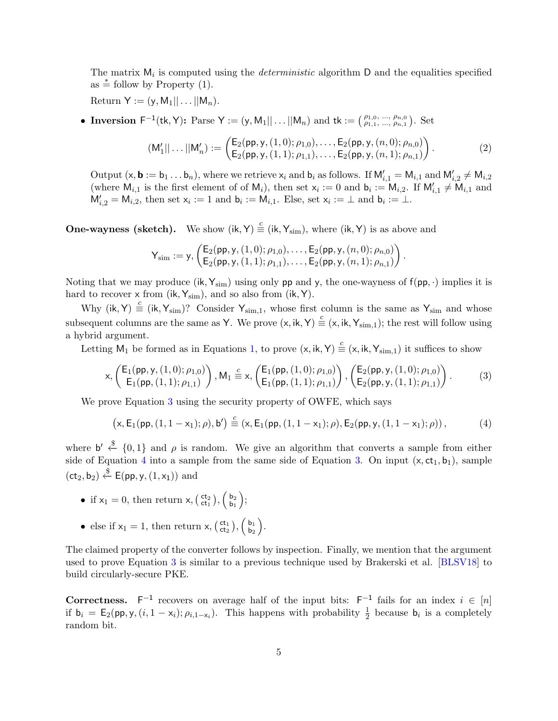<span id="page-4-2"></span>The matrix  $M_i$  is computed using the *deterministic* algorithm  $D$  and the equalities specified  $\text{as} \stackrel{*}{=}$  follow by Property (1).

 $Return Y := (y, M_1 || ... || M_n).$ 

• Inversion  $F^{-1}(tk, Y)$ : Parse  $Y := (y, M_1 || \dots || M_n)$  and  $tk := (\begin{matrix} \rho_{1,0}, ..., \rho_{n,0} \\ \rho_{1,1}, ..., \rho_{n,1} \end{matrix})$ . Set

$$
(M'_1||\dots||M'_n) := \begin{pmatrix} E_2(pp, y, (1,0); \rho_{1,0}), \dots, E_2(pp, y, (n,0); \rho_{n,0}) \\ E_2(pp, y, (1,1); \rho_{1,1}), \dots, E_2(pp, y, (n,1); \rho_{n,1}) \end{pmatrix}.
$$
 (2)

Output  $(x, \mathbf{b} := b_1 \dots b_n)$ , where we retrieve  $x_i$  and  $b_i$  as follows. If  $M'_{i,1} = M_{i,1}$  and  $M'_{i,2} \neq M_{i,2}$ (where  $M_{i,1}$  is the first element of of  $M_i$ ), then set  $x_i := 0$  and  $b_i := M_{i,2}$ . If  $M'_{i,1} \neq M_{i,1}$  and  $M'_{i,2} = M_{i,2}$ , then set  $x_i := 1$  and  $b_i := M_{i,1}$ . Else, set  $x_i := \perp$  and  $b_i := \perp$ .

**One-wayness (sketch).** We show  $(ik, Y) \stackrel{c}{\equiv} (ik, Y_{sim})$ , where  $(ik, Y)$  is as above and

<span id="page-4-0"></span>
$$
\mathsf{Y}_{\text{sim}} := \mathsf{y}, \left( \mathsf{E}_2(\mathsf{pp}, \mathsf{y}, (1,0); \rho_{1,0}), \ldots, \mathsf{E}_2(\mathsf{pp}, \mathsf{y}, (n,0); \rho_{n,0}) \right). \\ \left( \mathsf{E}_2(\mathsf{pp}, \mathsf{y}, (1,1); \rho_{1,1}), \ldots, \mathsf{E}_2(\mathsf{pp}, \mathsf{y}, (n,1); \rho_{n,1}) \right).
$$

Noting that we may produce (ik,  $Y_{\text{sim}}$ ) using only pp and y, the one-wayness of  $f(p, \cdot)$  implies it is hard to recover  $x$  from (ik,  $Y_{sim}$ ), and so also from (ik, Y).

Why (ik, Y)  $\stackrel{c}{\equiv}$  (ik, Y<sub>sim</sub>)? Consider Y<sub>sim,1</sub>, whose first column is the same as Y<sub>sim</sub> and whose subsequent columns are the same as Y. We prove  $(x, ik, Y) \stackrel{c}{\equiv} (x, ik, Y_{sim,1})$ ; the rest will follow using a hybrid argument.

Letting  $M_1$  be formed as in Equations [1,](#page-3-1) to prove  $(x, ik, Y) \stackrel{c}{\equiv} (x, ik, Y_{sim,1})$  it suffices to show

$$
\mathsf{x}, \left(\begin{matrix} \mathsf{E}_1(\mathsf{pp}, \mathsf{y}, (1,0); \rho_{1,0}) \\ \mathsf{E}_1(\mathsf{pp}, (1,1); \rho_{1,1}) \end{matrix}\right), \mathsf{M}_1 \stackrel{c}{\equiv} \mathsf{x}, \left(\begin{matrix} \mathsf{E}_1(\mathsf{pp}, (1,0); \rho_{1,0}) \\ \mathsf{E}_1(\mathsf{pp}, (1,1); \rho_{1,1}) \end{matrix}\right), \left(\begin{matrix} \mathsf{E}_2(\mathsf{pp}, \mathsf{y}, (1,0); \rho_{1,0}) \\ \mathsf{E}_2(\mathsf{pp}, \mathsf{y}, (1,1); \rho_{1,1}) \end{matrix}\right). \tag{3}
$$

We prove Equation [3](#page-4-0) using the security property of OWFE, which says

<span id="page-4-1"></span>
$$
(x, E_1(pp, (1, 1 - x_1); \rho), b') \stackrel{c}{\equiv} (x, E_1(pp, (1, 1 - x_1); \rho), E_2(pp, y, (1, 1 - x_1); \rho)), \tag{4}
$$

where  $\mathsf{b}' \stackrel{\$}{\leftarrow} \{0,1\}$  and  $\rho$  is random. We give an algorithm that converts a sample from either side of Equation [4](#page-4-1) into a sample from the same side of Equation [3.](#page-4-0) On input  $(x, ct_1, b_1)$ , sample  $(ct_2, b_2) \stackrel{\$}{\leftarrow} E(pp, y, (1, x_1))$  and

- if  $x_1 = 0$ , then return  $x$ ,  $\begin{pmatrix} ct_2 \\ ct_1 \end{pmatrix}$ ,  $\begin{pmatrix} b_2 \\ b_1 \end{pmatrix}$  $\left(\begin{array}{c} \mathsf{b}_2 \\ \mathsf{b}_1 \end{array}\right)$
- else if  $x_1 = 1$ , then return  $x, (\begin{smallmatrix} ct_1 \\ ct_2 \end{smallmatrix}), (\begin{smallmatrix} b_1 \\ b_2 \end{smallmatrix})$  $\left(\begin{array}{c} b_1 \\ b_2 \end{array}\right)$ .

The claimed property of the converter follows by inspection. Finally, we mention that the argument used to prove Equation [3](#page-4-0) is similar to a previous technique used by Brakerski et al. [\[BLSV18\]](#page-24-5) to build circularly-secure PKE.

**Correctness.**  $F^{-1}$  recovers on average half of the input bits:  $F^{-1}$  fails for an index  $i \in [n]$ if  $b_i = E_2(pp, y, (i, 1 - x_i); \rho_{i,1-x_i})$ . This happens with probability  $\frac{1}{2}$  because  $b_i$  is a completely random bit.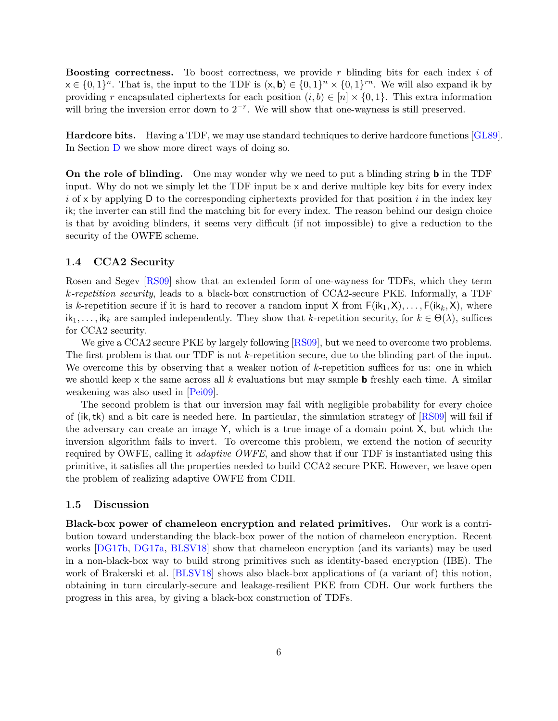<span id="page-5-0"></span>**Boosting correctness.** To boost correctness, we provide r blinding bits for each index  $i$  of  $x \in \{0,1\}^n$ . That is, the input to the TDF is  $(x, \mathbf{b}) \in \{0,1\}^n \times \{0,1\}^{rn}$ . We will also expand ik by providing r encapsulated ciphertexts for each position  $(i, b) \in [n] \times \{0, 1\}$ . This extra information will bring the inversion error down to  $2^{-r}$ . We will show that one-wayness is still preserved.

Hardcore bits. Having a TDF, we may use standard techniques to derive hardcore functions [\[GL89\]](#page-25-8). In Section [D](#page-28-0) we show more direct ways of doing so.

**On the role of blinding.** One may wonder why we need to put a blinding string **b** in the TDF input. Why do not we simply let the TDF input be x and derive multiple key bits for every index i of x by applying D to the corresponding ciphertexts provided for that position i in the index key ik; the inverter can still find the matching bit for every index. The reason behind our design choice is that by avoiding blinders, it seems very difficult (if not impossible) to give a reduction to the security of the OWFE scheme.

### 1.4 CCA2 Security

Rosen and Segev [\[RS09\]](#page-25-1) show that an extended form of one-wayness for TDFs, which they term k-repetition security, leads to a black-box construction of CCA2-secure PKE. Informally, a TDF is k-repetition secure if it is hard to recover a random input X from  $F(ik_1, X), \ldots, F(ik_k, X)$ , where  $ik_1, \ldots, ik_k$  are sampled independently. They show that k-repetition security, for  $k \in \Theta(\lambda)$ , suffices for CCA2 security.

We give a CCA2 secure PKE by largely following [\[RS09\]](#page-25-1), but we need to overcome two problems. The first problem is that our TDF is not k-repetition secure, due to the blinding part of the input. We overcome this by observing that a weaker notion of  $k$ -repetition suffices for us: one in which we should keep x the same across all k evaluations but may sample **b** freshly each time. A similar weakening was also used in [\[Pei09\]](#page-25-9).

The second problem is that our inversion may fail with negligible probability for every choice of (ik,tk) and a bit care is needed here. In particular, the simulation strategy of [\[RS09\]](#page-25-1) will fail if the adversary can create an image Y, which is a true image of a domain point X, but which the inversion algorithm fails to invert. To overcome this problem, we extend the notion of security required by OWFE, calling it *adaptive OWFE*, and show that if our TDF is instantiated using this primitive, it satisfies all the properties needed to build CCA2 secure PKE. However, we leave open the problem of realizing adaptive OWFE from CDH.

### 1.5 Discussion

Black-box power of chameleon encryption and related primitives. Our work is a contribution toward understanding the black-box power of the notion of chameleon encryption. Recent works [\[DG17b,](#page-24-4) [DG17a,](#page-24-6) [BLSV18\]](#page-24-5) show that chameleon encryption (and its variants) may be used in a non-black-box way to build strong primitives such as identity-based encryption (IBE). The work of Brakerski et al. [\[BLSV18\]](#page-24-5) shows also black-box applications of (a variant of) this notion, obtaining in turn circularly-secure and leakage-resilient PKE from CDH. Our work furthers the progress in this area, by giving a black-box construction of TDFs.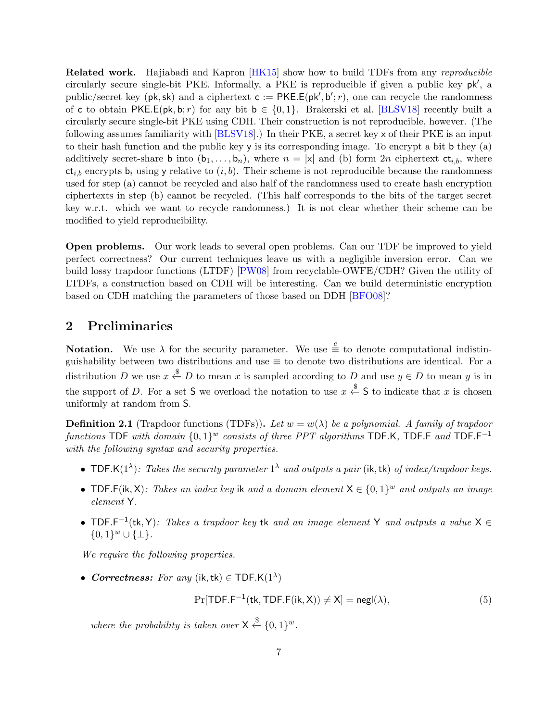<span id="page-6-1"></span>**Related work.** Hajiabadi and Kapron [\[HK15\]](#page-25-10) show how to build TDFs from any reproducible circularly secure single-bit PKE. Informally, a PKE is reproducible if given a public key pk', a public/secret key ( $pk, sk$ ) and a ciphertext  $c := PKE.E(pk', b'; r)$ , one can recycle the randomness of c to obtain PKE.E(pk, b; r) for any bit  $b \in \{0, 1\}$ . Brakerski et al. [\[BLSV18\]](#page-24-5) recently built a circularly secure single-bit PKE using CDH. Their construction is not reproducible, however. (The following assumes familiarity with [\[BLSV18\]](#page-24-5).) In their PKE, a secret key x of their PKE is an input to their hash function and the public key y is its corresponding image. To encrypt a bit b they (a) additively secret-share **b** into  $(b_1, \ldots, b_n)$ , where  $n = |x|$  and (b) form 2n ciphertext  $ct_{i,b}$ , where  $ct_{i,b}$  encrypts  $b_i$  using y relative to  $(i, b)$ . Their scheme is not reproducible because the randomness used for step (a) cannot be recycled and also half of the randomness used to create hash encryption ciphertexts in step (b) cannot be recycled. (This half corresponds to the bits of the target secret key w.r.t. which we want to recycle randomness.) It is not clear whether their scheme can be modified to yield reproducibility.

Open problems. Our work leads to several open problems. Can our TDF be improved to yield perfect correctness? Our current techniques leave us with a negligible inversion error. Can we build lossy trapdoor functions (LTDF) [\[PW08\]](#page-25-0) from recyclable-OWFE/CDH? Given the utility of LTDFs, a construction based on CDH will be interesting. Can we build deterministic encryption based on CDH matching the parameters of those based on DDH [\[BFO08\]](#page-24-7)?

# 2 Preliminaries

**Notation.** We use  $\lambda$  for the security parameter. We use  $\stackrel{c}{\equiv}$  to denote computational indistinguishability between two distributions and use  $\equiv$  to denote two distributions are identical. For a distribution D we use  $x \stackrel{\$}{\leftarrow} D$  to mean x is sampled according to D and use  $y \in D$  to mean y is in the support of D. For a set S we overload the notation to use  $x \stackrel{\$}{\leftarrow} S$  to indicate that x is chosen uniformly at random from S.

<span id="page-6-0"></span>**Definition 2.1** (Trapdoor functions (TDFs)). Let  $w = w(\lambda)$  be a polynomial. A family of trapdoor functions TDF with domain  $\{0,1\}^w$  consists of three PPT algorithms TDF.K, TDF.F and TDF.F<sup>-1</sup> with the following syntax and security properties.

- TDF.K(1<sup> $\lambda$ </sup>): Takes the security parameter 1<sup> $\lambda$ </sup> and outputs a pair (ik, tk) of index/trapdoor keys.
- TDF.F(ik, X): Takes an index key ik and a domain element  $X \in \{0,1\}^w$  and outputs an image element Y.
- TDF.F<sup>-1</sup>(tk, Y): Takes a trapdoor key tk and an image element Y and outputs a value  $X \in$  ${0,1}^w \cup {\{\perp\}}.$

We require the following properties.

• Correctness: For any (ik, tk)  $\in$  TDF.K(1<sup> $\lambda$ </sup>)

$$
\Pr[\mathsf{TDF.F}^{-1}(\mathsf{tk}, \mathsf{TDF.F}(\mathsf{ik}, \mathsf{X})) \neq \mathsf{X}] = \mathsf{negl}(\lambda),\tag{5}
$$

where the probability is taken over  $X \stackrel{\$}{\leftarrow} \{0,1\}^w$ .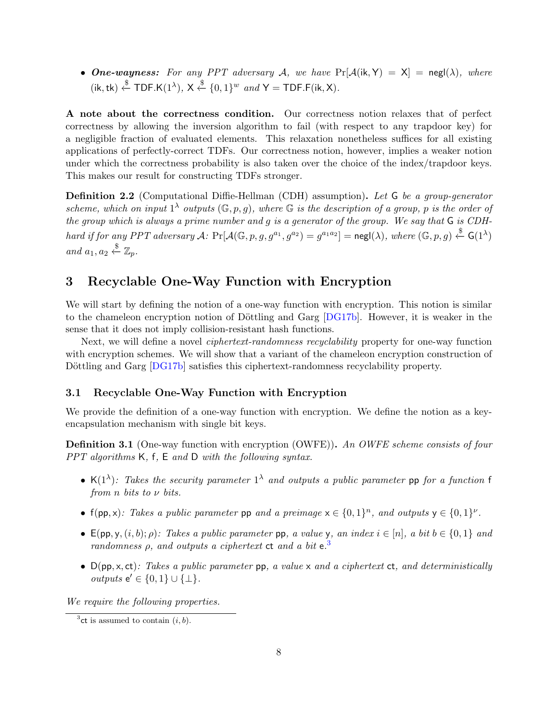<span id="page-7-3"></span>• One-wayness: For any PPT adversary A, we have  $Pr[\mathcal{A}(ik, Y) = X] = negl(\lambda)$ , where  $(i\mathsf{k},\mathsf{tk}) \stackrel{\$}{\leftarrow} \mathsf{TDF}.\mathsf{K}(1^{\lambda}), \mathsf{X} \stackrel{\$}{\leftarrow} \{0,1\}^{w} \text{ and } \mathsf{Y} = \mathsf{TDF}.\mathsf{F}(i\mathsf{k},\mathsf{X}).$ 

A note about the correctness condition. Our correctness notion relaxes that of perfect correctness by allowing the inversion algorithm to fail (with respect to any trapdoor key) for a negligible fraction of evaluated elements. This relaxation nonetheless suffices for all existing applications of perfectly-correct TDFs. Our correctness notion, however, implies a weaker notion under which the correctness probability is also taken over the choice of the index/trapdoor keys. This makes our result for constructing TDFs stronger.

<span id="page-7-2"></span>Definition 2.2 (Computational Diffie-Hellman (CDH) assumption). Let G be a group-generator scheme, which on input  $1^{\lambda}$  outputs  $(\mathbb{G}, p, g)$ , where  $\mathbb{G}$  is the description of a group, p is the order of the group which is always a prime number and g is a generator of the group. We say that G is CDHhard if for any PPT adversary A:  $Pr[\mathcal{A}(\mathbb{G}, p, g, g^{a_1}, g^{a_2}) = g^{a_1 a_2}] = \mathsf{negl}(\lambda),$  where  $(\mathbb{G}, p, g) \overset{\$}{\leftarrow} \mathsf{G}(1^{\lambda})$ and  $a_1, a_2 \overset{\$}{\leftarrow} \mathbb{Z}_p$ .

# 3 Recyclable One-Way Function with Encryption

We will start by defining the notion of a one-way function with encryption. This notion is similar to the chameleon encryption notion of Döttling and Garg [\[DG17b\]](#page-24-4). However, it is weaker in the sense that it does not imply collision-resistant hash functions.

Next, we will define a novel *ciphertext-randomness recyclability* property for one-way function with encryption schemes. We will show that a variant of the chameleon encryption construction of Döttling and Garg [\[DG17b\]](#page-24-4) satisfies this ciphertext-randomness recyclability property.

### 3.1 Recyclable One-Way Function with Encryption

We provide the definition of a one-way function with encryption. We define the notion as a keyencapsulation mechanism with single bit keys.

<span id="page-7-0"></span>**Definition 3.1** (One-way function with encryption (OWFE)). An OWFE scheme consists of four PPT algorithms K, f, E and D with the following syntax.

- K(1<sup> $\lambda$ </sup>): Takes the security parameter 1<sup> $\lambda$ </sup> and outputs a public parameter pp for a function f from n bits to  $\nu$  bits.
- $f(pp,x)$ : Takes a public parameter pp and a preimage  $x \in \{0,1\}^n$ , and outputs  $y \in \{0,1\}^{\nu}$ .
- $E(pp, y, (i, b); \rho)$ : Takes a public parameter pp, a value y, an index  $i \in [n]$ , a bit  $b \in \{0, 1\}$  and randomness  $\rho$ , and outputs a ciphertext ct and a bit  $e^{3}$  $e^{3}$  $e^{3}$
- $D(pp, x, ct)$ : Takes a public parameter  $pp$ , a value x and a ciphertext ct, and deterministically *outputs*  $e' \in \{0, 1\} \cup \{\perp\}.$

We require the following properties.

<span id="page-7-1"></span><sup>&</sup>lt;sup>3</sup>ct is assumed to contain  $(i, b)$ .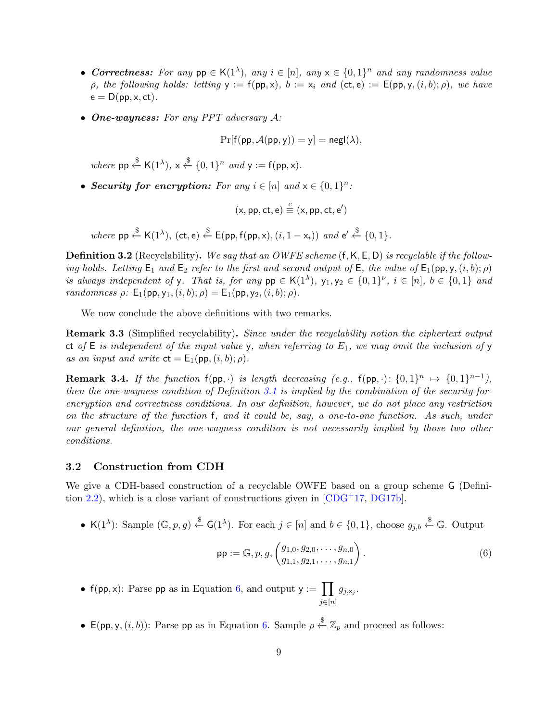- <span id="page-8-3"></span>• Correctness: For any  $pp \in K(1^{\lambda})$ , any  $i \in [n]$ , any  $x \in \{0,1\}^n$  and any randomness value ρ, the following holds: letting  $\mathsf{y} := \mathsf{f}(\mathsf{pp}, \mathsf{x})$ ,  $\mathsf{b} := \mathsf{x}_i$  and  $(\mathsf{ct}, \mathsf{e}) := \mathsf{E}(\mathsf{pp}, \mathsf{y}, (i, b); \rho)$ , we have  $e = D(pp, x, ct)$ .
- One-wayness: For any PPT adversary A:

$$
\Pr[f(pp, \mathcal{A}(pp, y)) = y] = \mathsf{negl}(\lambda),
$$

where  $pp \stackrel{\$}{\leftarrow} K(1^{\lambda}), x \stackrel{\$}{\leftarrow} \{0, 1\}^n$  and  $y := f(pp, x)$ .

• Security for encryption: For any  $i \in [n]$  and  $x \in \{0,1\}^n$ :

$$
(x, pp, ct, e) \stackrel{c}{\equiv} (x, pp, ct, e')
$$

where  $pp \stackrel{\$}{\leftarrow} K(1^{\lambda}),$   $(ct, e) \stackrel{\$}{\leftarrow} E(pp, f(pp, x), (i, 1 - x_i))$  and  $e' \stackrel{\$}{\leftarrow} \{0, 1\}.$ 

**Definition 3.2** (Recyclability). We say that an OWFE scheme  $(f, K, E, D)$  is recyclable if the following holds. Letting  $E_1$  and  $E_2$  refer to the first and second output of  $E$ , the value of  $E_1(pp, y, (i, b); \rho)$ is always independent of y. That is, for any  $pp \in K(1^{\lambda}), y_1, y_2 \in \{0,1\}^{\nu}, i \in [n], b \in \{0,1\}$  and randomness  $\rho$ :  $E_1(pp, y_1, (i, b); \rho) = E_1(pp, y_2, (i, b); \rho)$ .

We now conclude the above definitions with two remarks.

<span id="page-8-1"></span>Remark 3.3 (Simplified recyclability). Since under the recyclability notion the ciphertext output ct of  $E$  is independent of the input value y, when referring to  $E_1$ , we may omit the inclusion of y as an input and write  $ct = E_1(p, (i, b); \rho)$ .

**Remark 3.4.** If the function  $f(p, \cdot)$  is length decreasing (e.g.,  $f(p, \cdot): \{0,1\}^n \mapsto \{0,1\}^{n-1}$ ), then the one-wayness condition of Definition [3.1](#page-7-0) is implied by the combination of the security-forencryption and correctness conditions. In our definition, however, we do not place any restriction on the structure of the function f, and it could be, say, a one-to-one function. As such, under our general definition, the one-wayness condition is not necessarily implied by those two other conditions.

### <span id="page-8-2"></span>3.2 Construction from CDH

We give a CDH-based construction of a recyclable OWFE based on a group scheme G (Defini-tion [2.2\)](#page-7-2), which is a close variant of constructions given in  $[CDG<sup>+</sup>17, DG17b]$  $[CDG<sup>+</sup>17, DG17b]$  $[CDG<sup>+</sup>17, DG17b]$ .

• K(1<sup> $\lambda$ </sup>): Sample  $(\mathbb{G}, p, g) \stackrel{\$}{\leftarrow} G(1^{\lambda})$ . For each  $j \in [n]$  and  $b \in \{0, 1\}$ , choose  $g_{j,b} \stackrel{\$}{\leftarrow} \mathbb{G}$ . Output

<span id="page-8-0"></span>
$$
\mathsf{pp} := \mathbb{G}, p, g, \begin{pmatrix} g_{1,0}, g_{2,0}, \dots, g_{n,0} \\ g_{1,1}, g_{2,1}, \dots, g_{n,1} \end{pmatrix} . \tag{6}
$$

- f(pp, x): Parse pp as in Equation [6,](#page-8-0) and output  $y := \prod$  $j \in [n]$  $g_{j, \mathsf{x}_j}$ .
- $\mathsf{E}(pp, y, (i, b))$ : Parse pp as in Equation [6.](#page-8-0) Sample  $\rho \overset{\$}{\leftarrow} \mathbb{Z}_p$  and proceed as follows: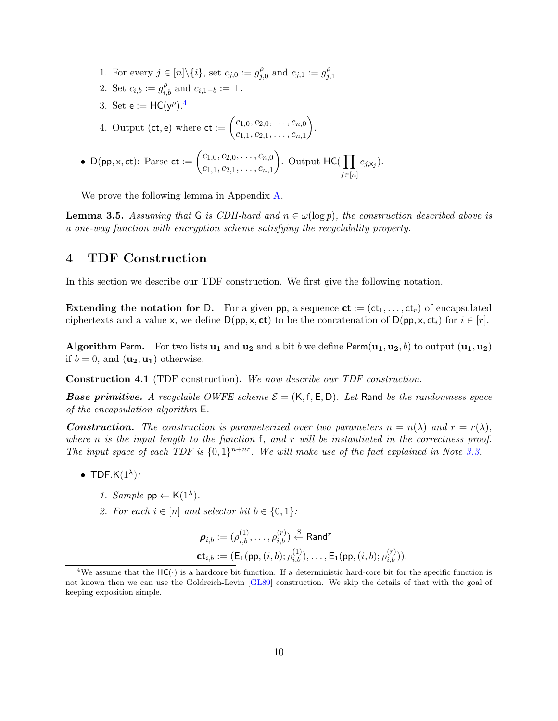<span id="page-9-4"></span>1. For every  $j \in [n] \backslash \{i\}$ , set  $c_{j,0} := g_j^{\rho}$  $j_{j,0}^{\rho}$  and  $c_{j,1} := g_{j}^{\rho}$  $_{j,1}^{\rho}.$ 2. Set  $c_{i,b} := g_{i,b}^{\rho}$  and  $c_{i,1-b} := \perp$ . 3. Set  $e := HC(y^{\rho}).^4$  $e := HC(y^{\rho}).^4$ 4. Output (ct, e) where  $ct := \begin{pmatrix} c_{1,0}, c_{2,0}, \ldots, c_{n,0} \\ \end{pmatrix}$  $c_{1,1}, c_{2,1}, \ldots, c_{n,1}$  . • D(pp, x, ct): Parse ct :=  $\begin{pmatrix} c_{1,0}, c_{2,0}, \ldots, c_{n,0} \\ \vdots \end{pmatrix}$  $c_{1,1}, c_{2,1}, \ldots, c_{n,1}$ ). Output  $HC(\prod$  $j \in [n]$  $c_{j, \mathsf{x}_j}$ ).

We prove the following lemma in Appendix [A.](#page-26-4)

<span id="page-9-2"></span>**Lemma 3.5.** Assuming that G is CDH-hard and  $n \in \omega(\log p)$ , the construction described above is a one-way function with encryption scheme satisfying the recyclability property.

## <span id="page-9-3"></span>4 TDF Construction

In this section we describe our TDF construction. We first give the following notation.

**Extending the notation for D.** For a given pp, a sequence  $ct := (ct_1, \ldots, ct_r)$  of encapsulated ciphertexts and a value x, we define  $D(pp, x, ct)$  to be the concatenation of  $D(pp, x, ct<sub>i</sub>)$  for  $i \in [r]$ .

**Algorithm Perm.** For two lists  $\mathbf{u}_1$  and  $\mathbf{u}_2$  and a bit b we define Perm $(\mathbf{u}_1, \mathbf{u}_2, b)$  to output  $(\mathbf{u}_1, \mathbf{u}_2)$ if  $b = 0$ , and  $(\mathbf{u}_2, \mathbf{u}_1)$  otherwise.

<span id="page-9-1"></span>Construction 4.1 (TDF construction). We now describe our TDF construction.

**Base primitive.** A recyclable OWFE scheme  $\mathcal{E} = (K, f, E, D)$ . Let Rand be the randomness space of the encapsulation algorithm E.

**Construction.** The construction is parameterized over two parameters  $n = n(\lambda)$  and  $r = r(\lambda)$ , where n is the input length to the function  $f$ , and r will be instantiated in the correctness proof. The input space of each TDF is  $\{0,1\}^{n+nr}$ . We will make use of the fact explained in Note [3.3.](#page-8-1)

- TDF.K $(1^{\lambda})$ :
	- 1. Sample  $pp \leftarrow K(1^{\lambda})$ .
	- 2. For each  $i \in [n]$  and selector bit  $b \in \{0, 1\}$ :

$$
\rho_{i,b} := (\rho_{i,b}^{(1)}, \dots, \rho_{i,b}^{(r)}) \stackrel{\$}{\leftarrow} \text{Rand}^r
$$
  

$$
\mathbf{ct}_{i,b} := (\mathsf{E}_1(\mathsf{pp}, (i,b); \rho_{i,b}^{(1)}), \dots, \mathsf{E}_1(\mathsf{pp}, (i,b); \rho_{i,b}^{(r)})).
$$

<span id="page-9-0"></span><sup>&</sup>lt;sup>4</sup>We assume that the  $HC(\cdot)$  is a hardcore bit function. If a deterministic hard-core bit for the specific function is not known then we can use the Goldreich-Levin [\[GL89\]](#page-25-8) construction. We skip the details of that with the goal of keeping exposition simple.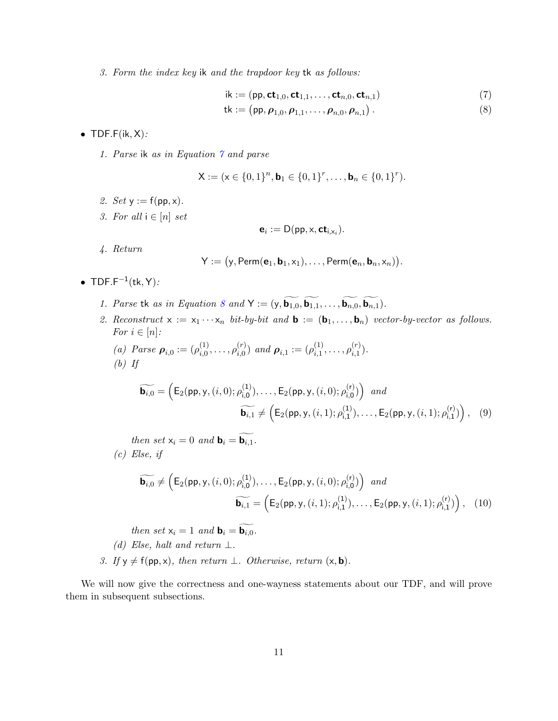3. Form the index key ik and the trapdoor key tk as follows:

$$
\mathsf{ik} := (\mathsf{pp}, \mathsf{ct}_{1,0}, \mathsf{ct}_{1,1}, \dots, \mathsf{ct}_{n,0}, \mathsf{ct}_{n,1}) \tag{7}
$$

tk := (pp, 
$$
\rho_{1,0}, \rho_{1,1}, \ldots, \rho_{n,0}, \rho_{n,1}
$$
). (8)

<span id="page-10-1"></span><span id="page-10-0"></span>.

- TDF.F $(ik, X)$ :
	- 1. Parse ik as in Equation [7](#page-10-0) and parse

$$
\mathsf{X} := (\mathsf{x} \in \{0,1\}^n, \mathsf{b}_1 \in \{0,1\}^r, \dots, \mathsf{b}_n \in \{0,1\}^r).
$$

- 2. Set  $y := f(pp, x)$ .
- 3. For all  $i \in [n]$  set

$$
\mathbf{e}_i := \mathsf{D}(\mathsf{pp}, \mathsf{x}, \mathsf{ct}_{\mathsf{i}, \mathsf{x}_i}).
$$

4. Return

$$
\mathsf{Y} := \big(\mathsf{y},\mathsf{Perm}(\mathbf{e}_1,\mathbf{b}_1,\mathsf{x}_1),\ldots,\mathsf{Perm}(\mathbf{e}_n,\mathbf{b}_n,\mathsf{x}_n)\big)
$$

- TDF.F<sup> $-1$ </sup>(tk, Y):
	- 1. Parse tk as in Equation [8](#page-10-1) and  $Y := (y, \widetilde{b_{1,0}}, \widetilde{b_{1,1}}, \ldots, \widetilde{b_{n,0}}, \widetilde{b_{n,1}})$ .
	- 2. Reconstruct  $x := x_1 \cdots x_n$  bit-by-bit and  $\mathbf{b} := (\mathbf{b}_1, \ldots, \mathbf{b}_n)$  vector-by-vector as follows. For  $i \in [n]$ :

(a) *Parse* 
$$
\boldsymbol{\rho}_{i,0} := (\rho_{i,0}^{(1)}, \ldots, \rho_{i,0}^{(r)})
$$
 and  $\boldsymbol{\rho}_{i,1} := (\rho_{i,1}^{(1)}, \ldots, \rho_{i,1}^{(r)})$ .  
(b) If

$$
\widetilde{\mathbf{b}_{i,0}} = \left( E_2(\text{pp}, \mathbf{y}, (i, 0); \rho_{i,0}^{(1)}), \dots, E_2(\text{pp}, \mathbf{y}, (i, 0); \rho_{i,0}^{(r)}) \right) \text{ and }
$$
\n
$$
\widetilde{\mathbf{b}_{i,1}} \neq \left( E_2(\text{pp}, \mathbf{y}, (i, 1); \rho_{i,1}^{(1)}), \dots, E_2(\text{pp}, \mathbf{y}, (i, 1); \rho_{i,1}^{(r)}) \right), \quad (9)
$$

then set  $x_i = 0$  and  $\mathbf{b}_i = \widetilde{\mathbf{b}_{i,1}}$ .  $(c)$  Else, if

$$
\widetilde{\mathbf{b}_{i,0}} \neq \left( E_2(\text{pp}, \mathbf{y}, (i, 0); \rho_{i,0}^{(1)}), \dots, E_2(\text{pp}, \mathbf{y}, (i, 0); \rho_{i,0}^{(r)}) \right) \text{ and }
$$
\n
$$
\widetilde{\mathbf{b}_{i,1}} = \left( E_2(\text{pp}, \mathbf{y}, (i, 1); \rho_{i,1}^{(1)}), \dots, E_2(\text{pp}, \mathbf{y}, (i, 1); \rho_{i,1}^{(r)}) \right), \quad (10)
$$

then set  $x_i = 1$  and  $\mathbf{b}_i = \widetilde{\mathbf{b}_{i,0}}$ .

(d) Else, halt and return  $\perp$ .

3. If  $y \neq f(pp, x)$ , then return  $\perp$ . Otherwise, return  $(x, b)$ .

We will now give the correctness and one-wayness statements about our TDF, and will prove them in subsequent subsections.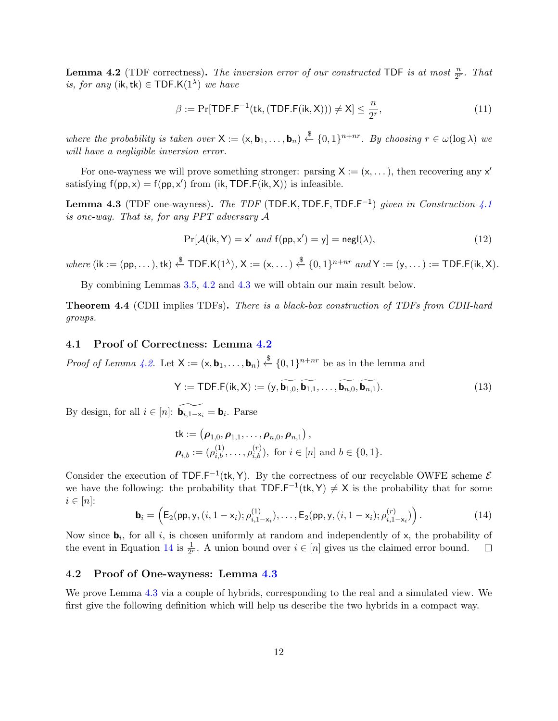<span id="page-11-0"></span>**Lemma 4.2** (TDF correctness). The inversion error of our constructed TDF is at most  $\frac{n}{2^r}$ . That *is, for any* (ik, tk)  $\in$  TDF.K(1<sup> $\lambda$ </sup>) we have

$$
\beta := \Pr[\text{TDF.F}^{-1}(\text{tk}, (\text{TDF.F}(ik, X))) \neq X] \leq \frac{n}{2^r},\tag{11}
$$

where the probability is taken over  $X := (x, b_1, \ldots, b_n) \stackrel{\$}{\leftarrow} \{0, 1\}^{n+nr}$ . By choosing  $r \in \omega(\log \lambda)$  we will have a negligible inversion error.

For one-wayness we will prove something stronger: parsing  $X := (x, \dots)$ , then recovering any  $x'$ satisfying  $f(pp, x) = f(pp, x')$  from (ik, TDF.F(ik, X)) is infeasible.

<span id="page-11-1"></span>**Lemma 4.3** (TDF one-wayness). The TDF (TDF.K, TDF.F, TDF.F<sup>-1</sup>) given in Construction [4.1](#page-9-1) is one-way. That is, for any PPT adversary A

$$
Pr[\mathcal{A}(ik, Y) = x' \text{ and } f(pp, x') = y] = negl(\lambda), \qquad (12)
$$

where  $(ik := (pp, \ldots), tk) \stackrel{\$}{\leftarrow} TDF.K(1^{\lambda}), X := (x, \ldots) \stackrel{\$}{\leftarrow} \{0, 1\}^{n+nr} \text{ and } Y := (y, \ldots) := TDF.F(ik, X).$ 

By combining Lemmas [3.5,](#page-9-2) [4.2](#page-11-0) and [4.3](#page-11-1) we will obtain our main result below.

Theorem 4.4 (CDH implies TDFs). There is a black-box construction of TDFs from CDH-hard groups.

#### 4.1 Proof of Correctness: Lemma [4.2](#page-11-0)

*Proof of Lemma [4.2.](#page-11-0)* Let  $X := (x, \mathbf{b}_1, \ldots, \mathbf{b}_n) \stackrel{\$}{\leftarrow} \{0,1\}^{n+nr}$  be as in the lemma and

$$
\mathsf{Y} := \mathsf{TDF.F}(\mathsf{ik}, \mathsf{X}) := (\mathsf{y}, \widetilde{\mathbf{b}_{1,0}}, \widetilde{\mathbf{b}_{1,1}}, \dots, \widetilde{\mathbf{b}_{n,0}}, \widetilde{\mathbf{b}_{n,1}}). \tag{13}
$$

By design, for all  $i \in [n]$ :  $\widetilde{\mathbf{b}_{i,1-x_i}} = \mathbf{b}_i$ . Parse

$$
\mathsf{tk} := (\boldsymbol{\rho}_{1,0}, \boldsymbol{\rho}_{1,1}, \dots, \boldsymbol{\rho}_{n,0}, \boldsymbol{\rho}_{n,1}),
$$
  

$$
\boldsymbol{\rho}_{i,b} := (\rho_{i,b}^{(1)}, \dots, \rho_{i,b}^{(r)}), \text{ for } i \in [n] \text{ and } b \in \{0,1\}.
$$

Consider the execution of TDF.F<sup>-1</sup>(tk, Y). By the correctness of our recyclable OWFE scheme  $\mathcal{E}$ we have the following: the probability that  $TDF.F^{-1}(tk, Y) \neq X$  is the probability that for some  $i \in [n]$ :

<span id="page-11-2"></span>
$$
\mathbf{b}_{i} = \left( \mathsf{E}_{2}(\mathsf{pp}, \mathsf{y}, (i, 1 - \mathsf{x}_{i}); \rho_{i, 1 - \mathsf{x}_{i}}^{(1)}), \dots, \mathsf{E}_{2}(\mathsf{pp}, \mathsf{y}, (i, 1 - \mathsf{x}_{i}); \rho_{i, 1 - \mathsf{x}_{i}}^{(r)}) \right).
$$
(14)

Now since  $\mathbf{b}_i$ , for all i, is chosen uniformly at random and independently of x, the probability of the event in Equation [14](#page-11-2) is  $\frac{1}{2^r}$ . A union bound over  $i \in [n]$  gives us the claimed error bound.  $\Box$ 

#### 4.2 Proof of One-wayness: Lemma [4.3](#page-11-1)

We prove Lemma [4.3](#page-11-1) via a couple of hybrids, corresponding to the real and a simulated view. We first give the following definition which will help us describe the two hybrids in a compact way.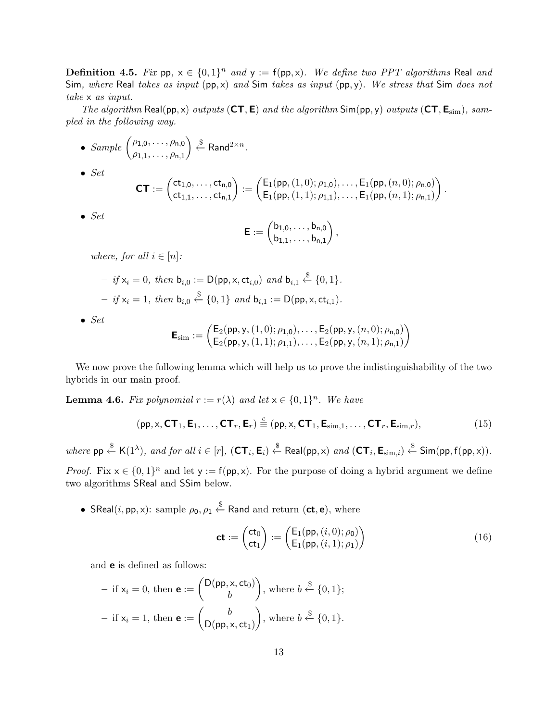**Definition 4.5.** Fix  $pp, x \in \{0, 1\}^n$  and  $y := f(pp, x)$ . We define two PPT algorithms Real and Sim, where Real takes as input (pp, x) and Sim takes as input (pp, y). We stress that Sim does not take x as input.

The algorithm Real(pp, x) outputs  $(CT, E)$  and the algorithm Sim(pp, y) outputs  $(CT, E_{sim})$ , sampled in the following way.

- Sample  $\left( \rho_{1,0}, \ldots, \rho_{n,0} \right)$  $\rho_{1,1}, \ldots, \rho_{n,1}$  $\Big) \stackrel{\$}{\leftarrow}$  Rand<sup>2×n</sup>.
- $\bullet$  Set

$$
\textbf{CT} := \begin{pmatrix} \text{ct}_{1,0}, \ldots, \text{ct}_{n,0} \\ \text{ct}_{1,1}, \ldots, \text{ct}_{n,1} \end{pmatrix} := \begin{pmatrix} E_1(\text{pp}, (1,0); \rho_{1,0}), \ldots, E_1(\text{pp}, (n,0); \rho_{n,0}) \\ E_1(\text{pp}, (1,1); \rho_{1,1}), \ldots, E_1(\text{pp}, (n,1); \rho_{n,1}) \end{pmatrix}.
$$

 $\bullet$  Set

$$
\boldsymbol{\mathsf{E}} := \begin{pmatrix} b_{1,0},\ldots,b_{n,0} \\ b_{1,1},\ldots,b_{n,1} \end{pmatrix},
$$

where, for all  $i \in [n]$ :

- if 
$$
x_i = 0
$$
, then  $b_{i,0} := D(pp, x, ct_{i,0})$  and  $b_{i,1} \stackrel{\$}{\leftarrow} \{0,1\}$ .  
\n- if  $x_i = 1$ , then  $b_{i,0} \stackrel{\$}{\leftarrow} \{0,1\}$  and  $b_{i,1} := D(pp, x, ct_{i,1})$ .

 $\bullet$  Set

$$
\mathsf{E}_{\text{sim}} := \begin{pmatrix} \mathsf{E}_2(\mathsf{pp},\mathsf{y},(1,0);\rho_{1,0}),\ldots,\mathsf{E}_2(\mathsf{pp},\mathsf{y},(n,0);\rho_{n,0}) \\ \mathsf{E}_2(\mathsf{pp},\mathsf{y},(1,1);\rho_{1,1}),\ldots,\mathsf{E}_2(\mathsf{pp},\mathsf{y},(n,1);\rho_{n,1}) \end{pmatrix}
$$

We now prove the following lemma which will help us to prove the indistinguishability of the two hybrids in our main proof.

<span id="page-12-2"></span>**Lemma 4.6.** Fix polynomial  $r := r(\lambda)$  and let  $x \in \{0, 1\}^n$ . We have

$$
(\mathsf{pp}, \mathsf{x}, \mathsf{CT}_1, \mathsf{E}_1, \dots, \mathsf{CT}_r, \mathsf{E}_r) \stackrel{c}{\equiv} (\mathsf{pp}, \mathsf{x}, \mathsf{CT}_1, \mathsf{E}_{\text{sim},1}, \dots, \mathsf{CT}_r, \mathsf{E}_{\text{sim},r}),
$$
(15)

where  $pp \stackrel{\$}{\leftarrow} K(1^{\lambda})$ , and for all  $i \in [r]$ ,  $(\mathsf{CT}_i, \mathsf{E}_i) \stackrel{\$}{\leftarrow} \text{Real}(pp, x)$  and  $(\mathsf{CT}_i, \mathsf{E}_{\text{sim},i}) \stackrel{\$}{\leftarrow} \text{Sim}(pp, f(pp, x))$ .

*Proof.* Fix  $x \in \{0,1\}^n$  and let  $y := f(p, x)$ . For the purpose of doing a hybrid argument we define two algorithms SReal and SSim below.

• SReal $(i, pp, x)$ : sample  $ρ_0, ρ_1 \stackrel{\$}{\leftarrow}$  Rand and return  $(\mathsf{ct}, \mathsf{e}),$  where

<span id="page-12-1"></span><span id="page-12-0"></span>
$$
\mathbf{ct} := \begin{pmatrix} \mathbf{ct}_0 \\ \mathbf{ct}_1 \end{pmatrix} := \begin{pmatrix} \mathsf{E}_1(\mathsf{pp}, (i, 0); \rho_0) \\ \mathsf{E}_1(\mathsf{pp}, (i, 1); \rho_1) \end{pmatrix} \tag{16}
$$

and e is defined as follows:

- if 
$$
x_i = 0
$$
, then  $\mathbf{e} := \begin{pmatrix} D(pp, x, ct_0) \\ b \end{pmatrix}$ , where  $b \stackrel{\$}{\leftarrow} \{0, 1\};$   
- if  $x_i = 1$ , then  $\mathbf{e} := \begin{pmatrix} b \\ D(pp, x, ct_1) \end{pmatrix}$ , where  $b \stackrel{\$}{\leftarrow} \{0, 1\}.$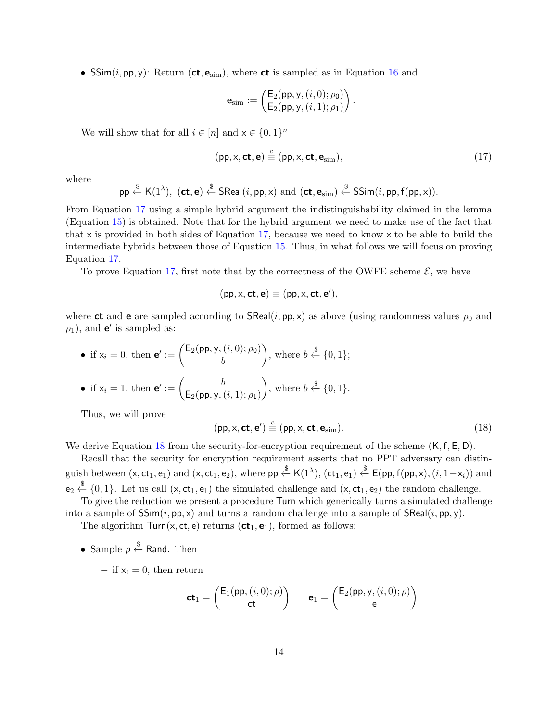• SSim $(i, pp, y)$ : Return (ct,  $e_{sim}$ ), where ct is sampled as in Equation [16](#page-12-0) and

$$
\mathbf{e}_{sim} := \begin{pmatrix} \mathsf{E}_2(\mathsf{pp}, \mathsf{y}, (i, 0); \rho_0) \\ \mathsf{E}_2(\mathsf{pp}, \mathsf{y}, (i, 1); \rho_1) \end{pmatrix}.
$$

We will show that for all  $i \in [n]$  and  $x \in \{0, 1\}^n$ 

<span id="page-13-0"></span>
$$
(\text{pp}, \times, \text{ct}, \text{e}) \stackrel{c}{\equiv} (\text{pp}, \times, \text{ct}, \text{e}_{\text{sim}}), \tag{17}
$$

where

$$
\mathsf{pp} \stackrel{\$}{\leftarrow} \mathsf{K}(1^{\lambda}), \ (\mathsf{ct}, \mathsf{e}) \stackrel{\$}{\leftarrow} \mathsf{SReal}(i, \mathsf{pp}, \mathsf{x}) \ \mathrm{and} \ (\mathsf{ct}, \mathsf{e}_{\mathrm{sim}}) \stackrel{\$}{\leftarrow} \mathsf{SSim}(i, \mathsf{pp}, \mathsf{f}(\mathsf{pp}, \mathsf{x})).
$$

From Equation [17](#page-13-0) using a simple hybrid argument the indistinguishability claimed in the lemma (Equation [15\)](#page-12-1) is obtained. Note that for the hybrid argument we need to make use of the fact that that x is provided in both sides of Equation [17,](#page-13-0) because we need to know x to be able to build the intermediate hybrids between those of Equation [15.](#page-12-1) Thus, in what follows we will focus on proving Equation [17.](#page-13-0)

To prove Equation [17,](#page-13-0) first note that by the correctness of the OWFE scheme  $\mathcal{E}$ , we have

$$
(pp,x,\mathbf{ct},\mathbf{e})\equiv (pp,x,\mathbf{ct},\mathbf{e}'),
$$

where **ct** and **e** are sampled according to  $\mathsf{SReal}(i, \mathsf{pp}, \mathsf{x})$  as above (using randomness values  $\rho_0$  and  $\rho_1$ ), and **e**' is sampled as:

\n- if 
$$
x_i = 0
$$
, then  $\mathbf{e}' := \begin{pmatrix} \mathsf{E}_2(\mathsf{pp}, \mathsf{y}, (i, 0); \rho_0) \\ b \end{pmatrix}$ , where  $b \overset{\$}{\leftarrow} \{0, 1\}$ ;
\n- if  $x_i = 1$ , then  $\mathbf{e}' := \begin{pmatrix} b \\ \mathsf{E}_2(\mathsf{pp}, \mathsf{y}, (i, 1); \rho_1) \end{pmatrix}$ , where  $b \overset{\$}{\leftarrow} \{0, 1\}$ .
\n

Thus, we will prove

<span id="page-13-1"></span>
$$
(\mathsf{pp}, \mathsf{x}, \mathsf{ct}, \mathsf{e}') \stackrel{c}{\equiv} (\mathsf{pp}, \mathsf{x}, \mathsf{ct}, \mathsf{e}_{\text{sim}}). \tag{18}
$$

We derive Equation [18](#page-13-1) from the security-for-encryption requirement of the scheme  $(K, f, E, D)$ .

Recall that the security for encryption requirement asserts that no PPT adversary can distinguish between  $(x, ct_1, e_1)$  and  $(x, ct_1, e_2)$ , where  $pp \stackrel{\$}{\leftarrow} K(1^{\lambda}), (ct_1, e_1) \stackrel{\$}{\leftarrow} E(pp, f(pp, x), (i, 1 - x_i))$  and  $e_2 \stackrel{\$}{\leftarrow} \{0,1\}$ . Let us call  $(x, ct_1, e_1)$  the simulated challenge and  $(x, ct_1, e_2)$  the random challenge.

To give the reduction we present a procedure Turn which generically turns a simulated challenge into a sample of  $SSim(i, pp, x)$  and turns a random challenge into a sample of  $SReal(i, pp, y)$ .

The algorithm  $Turn(x, ct, e)$  returns  $(ct_1, e_1)$ , formed as follows:

• Sample  $\rho \overset{\$}{\leftarrow}$  Rand. Then

– if  $x_i = 0$ , then return

$$
\mathbf{ct}_1 = \begin{pmatrix} \mathsf{E}_1(\mathsf{pp}, (i, 0); \rho) \\ \mathsf{ct} \end{pmatrix} \qquad \mathbf{e}_1 = \begin{pmatrix} \mathsf{E}_2(\mathsf{pp}, \mathsf{y}, (i, 0); \rho) \\ \mathsf{e} \end{pmatrix}
$$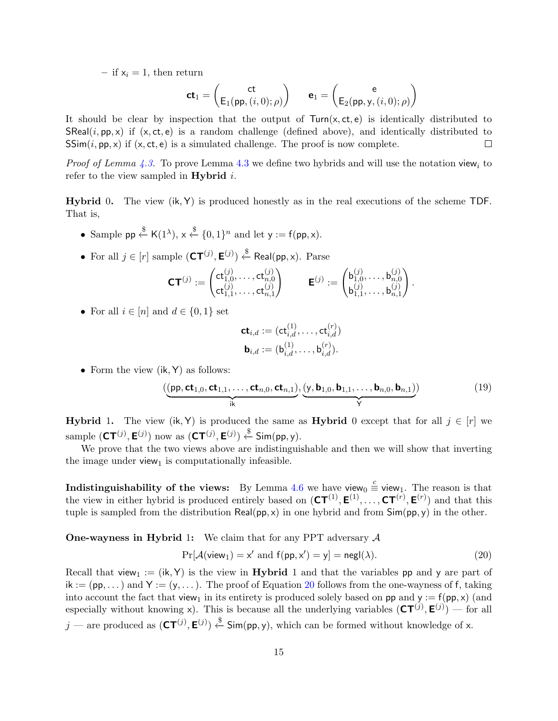– if  $x_i = 1$ , then return

$$
\mathbf{ct}_1 = \begin{pmatrix} \mathbf{ct} \\ \mathsf{E}_1(\mathsf{pp}, (i, 0); \rho) \end{pmatrix} \qquad \mathbf{e}_1 = \begin{pmatrix} \mathbf{e} \\ \mathsf{E}_2(\mathsf{pp}, \mathsf{y}, (i, 0); \rho) \end{pmatrix}
$$

It should be clear by inspection that the output of  $Turn(x, ct, e)$  is identically distributed to SReal $(i, pp, x)$  if  $(x, ct, e)$  is a random challenge (defined above), and identically distributed to  $SSim(i, pp, x)$  if  $(x, ct, e)$  is a simulated challenge. The proof is now complete.  $\Box$ 

*Proof of Lemma [4.3.](#page-11-1)* To prove Lemma [4.3](#page-11-1) we define two hybrids and will use the notation view<sub>i</sub> to refer to the view sampled in **Hybrid**  $i$ .

**Hybrid** 0. The view  $(ik, Y)$  is produced honestly as in the real executions of the scheme TDF. That is,

- Sample pp  $\stackrel{\$}{\leftarrow}$  K(1<sup>\2</sup>),  $x \stackrel{\$}{\leftarrow} \{0, 1\}^n$  and let  $y := f(pp, x)$ .
- For all  $j \in [r]$  sample  $(\text{CT}^{(j)}, \text{E}^{(j)}) \stackrel{\$}{\leftarrow} \text{Real}(pp, x)$ . Parse

$$
\mathbf{CT}^{(j)} := \begin{pmatrix} \mathsf{ct}_{1,0}^{(j)}, \ldots, \mathsf{ct}_{n,0}^{(j)} \\ \mathsf{ct}_{1,1}^{(j)}, \ldots, \mathsf{ct}_{n,1}^{(j)} \end{pmatrix} \qquad \mathsf{E}^{(j)} := \begin{pmatrix} \mathsf{b}_{1,0}^{(j)}, \ldots, \mathsf{b}_{n,0}^{(j)} \\ \mathsf{b}_{1,1}^{(j)}, \ldots, \mathsf{b}_{n,1}^{(j)} \end{pmatrix}.
$$

• For all  $i \in [n]$  and  $d \in \{0, 1\}$  set

$$
\begin{aligned} \mathbf{ct}_{i,d} &:= (\mathbf{ct}_{i,d}^{(1)}, \ldots, \mathbf{ct}_{i,d}^{(r)}) \\ \mathbf{b}_{i,d} &:= (\mathbf{b}_{i,d}^{(1)}, \ldots, \mathbf{b}_{i,d}^{(r)}) . \end{aligned}
$$

• Form the view  $(ik, Y)$  as follows:

$$
\left(\underbrace{\left(\mathbf{pp},\mathbf{ct}_{1,0},\mathbf{ct}_{1,1},\ldots,\mathbf{ct}_{n,0},\mathbf{ct}_{n,1}\right)}_{\mathbf{i}\mathbf{k}},\underbrace{\left(\mathbf{y},\mathbf{b}_{1,0},\mathbf{b}_{1,1},\ldots,\mathbf{b}_{n,0},\mathbf{b}_{n,1}\right)}_{\mathbf{Y}}\right)
$$
(19)

**Hybrid 1.** The view (ik, Y) is produced the same as **Hybrid** 0 except that for all  $j \in [r]$  we sample  $(\mathsf{CT}^{(j)}, \mathsf{E}^{(j)})$  now as  $(\mathsf{CT}^{(j)}, \mathsf{E}^{(j)}) \overset{\$}{\leftarrow} \mathsf{Sim(pp, y)}$ .

We prove that the two views above are indistinguishable and then we will show that inverting the image under view<sub>1</sub> is computationally infeasible.

Indistinguishability of the views: By Lemma [4.6](#page-12-2) we have view<sub>0</sub>  $\stackrel{c}{\equiv}$  view<sub>1</sub>. The reason is that the view in either hybrid is produced entirely based on  $(\mathsf{CT}^{(1)}, \mathsf{E}^{(1)}, \ldots, \mathsf{CT}^{(r)}, \mathsf{E}^{(r)})$  and that this tuple is sampled from the distribution  $\text{Real}(pp, x)$  in one hybrid and from  $\text{Sim}(pp, y)$  in the other.

**One-wayness in Hybrid 1:** We claim that for any PPT adversary  $A$ 

<span id="page-14-0"></span>
$$
\Pr[\mathcal{A}(\mathsf{view}_1) = \mathsf{x}' \text{ and } \mathsf{f}(\mathsf{pp}, \mathsf{x}') = \mathsf{y}] = \mathsf{negl}(\lambda). \tag{20}
$$

Recall that view<sub>1</sub> := (ik, Y) is the view in **Hybrid** 1 and that the variables pp and y are part of  $ik := (pp, \dots)$  and  $Y := (y, \dots)$ . The proof of Equation [20](#page-14-0) follows from the one-wayness of f, taking into account the fact that view<sub>1</sub> in its entirety is produced solely based on pp and  $y := f(pp, x)$  (and especially without knowing x). This is because all the underlying variables  $(CT^{(j)}, E^{(j)})$  — for all  $j$  — are produced as  $(\text{CT}^{(j)}, \text{E}^{(j)}) \overset{\$}{\leftarrow} \text{Sim(pp, y)}$ , which can be formed without knowledge of x.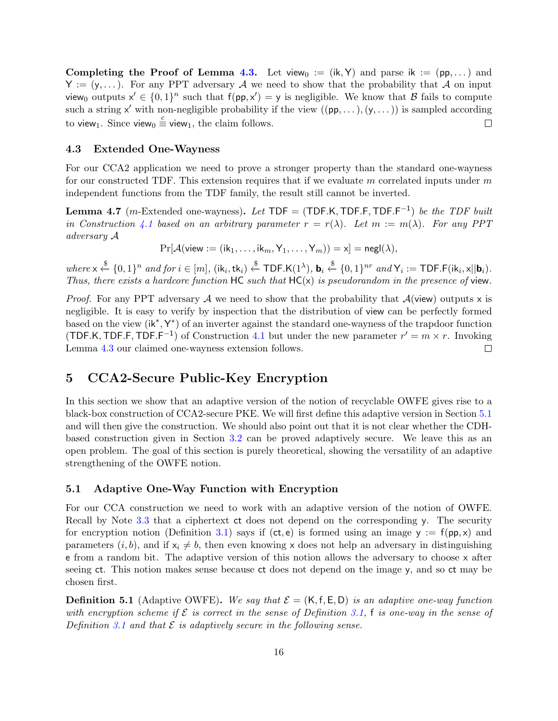Completing the Proof of Lemma [4.3.](#page-11-1) Let view<sub>0</sub> := (ik, Y) and parse ik := (pp,...) and  $Y := (y, \dots)$ . For any PPT adversary A we need to show that the probability that A on input view<sub>0</sub> outputs  $x' \in \{0,1\}^n$  such that  $f(p, x') = y$  is negligible. We know that B fails to compute such a string  $x'$  with non-negligible probability if the view  $((pp, \ldots), (y, \ldots))$  is sampled according to view<sub>1</sub>. Since view<sub>0</sub>  $\stackrel{c}{\equiv}$  view<sub>1</sub>, the claim follows.  $\Box$ 

### 4.3 Extended One-Wayness

For our CCA2 application we need to prove a stronger property than the standard one-wayness for our constructed TDF. This extension requires that if we evaluate m correlated inputs under m independent functions from the TDF family, the result still cannot be inverted.

<span id="page-15-1"></span>**Lemma 4.7** (m-Extended one-wayness). Let  $TDF = (TDF.K, TDF.F, TDF.F^{-1})$  be the TDF built in Construction [4.1](#page-9-1) based on an arbitrary parameter  $r = r(\lambda)$ . Let  $m := m(\lambda)$ . For any PPT adversary A

 $Pr[\mathcal{A}(\text{view} := (\text{i}k_1, \ldots, \text{i}k_m, Y_1, \ldots, Y_m)) = x] = negl(\lambda),$ 

where  $x \stackrel{\$}{\leftarrow} \{0,1\}^n$  and for  $i \in [m]$ ,  $(ik_i,tk_i) \stackrel{\$}{\leftarrow} \textsf{TDF.K}(1^{\lambda}), \mathbf{b}_i \stackrel{\$}{\leftarrow} \{0,1\}^{nr}$  and  $\mathsf{Y}_i := \textsf{TDF.F}(ik_i, \mathsf{x} || \mathbf{b}_i)$ . Thus, there exists a hardcore function  $HC$  such that  $HC(x)$  is pseudorandom in the presence of view.

*Proof.* For any PPT adversary A we need to show that the probability that  $A$ (view) outputs x is negligible. It is easy to verify by inspection that the distribution of view can be perfectly formed based on the view (ik<sup>\*</sup>, Y<sup>\*</sup>) of an inverter against the standard one-wayness of the trapdoor function (TDF.K, TDF.F, TDF.F<sup>-1</sup>) of Construction [4.1](#page-9-1) but under the new parameter  $r' = m \times r$ . Invoking Lemma [4.3](#page-11-1) our claimed one-wayness extension follows.  $\Box$ 

# 5 CCA2-Secure Public-Key Encryption

In this section we show that an adaptive version of the notion of recyclable OWFE gives rise to a black-box construction of CCA2-secure PKE. We will first define this adaptive version in Section [5.1](#page-15-0) and will then give the construction. We should also point out that it is not clear whether the CDHbased construction given in Section [3.2](#page-8-2) can be proved adaptively secure. We leave this as an open problem. The goal of this section is purely theoretical, showing the versatility of an adaptive strengthening of the OWFE notion.

### <span id="page-15-0"></span>5.1 Adaptive One-Way Function with Encryption

For our CCA construction we need to work with an adaptive version of the notion of OWFE. Recall by Note [3.3](#page-8-1) that a ciphertext ct does not depend on the corresponding y. The security for encryption notion (Definition [3.1\)](#page-7-0) says if (ct, e) is formed using an image  $y := f(p, x)$  and parameters  $(i, b)$ , and if  $x_i \neq b$ , then even knowing x does not help an adversary in distinguishing e from a random bit. The adaptive version of this notion allows the adversary to choose x after seeing ct. This notion makes sense because ct does not depend on the image y, and so ct may be chosen first.

<span id="page-15-2"></span>**Definition 5.1** (Adaptive OWFE). We say that  $\mathcal{E} = (K, f, E, D)$  is an adaptive one-way function with encryption scheme if  $\mathcal E$  is correct in the sense of Definition [3.1,](#page-7-0) f is one-way in the sense of Definition [3.1](#page-7-0) and that  $\mathcal E$  is adaptively secure in the following sense.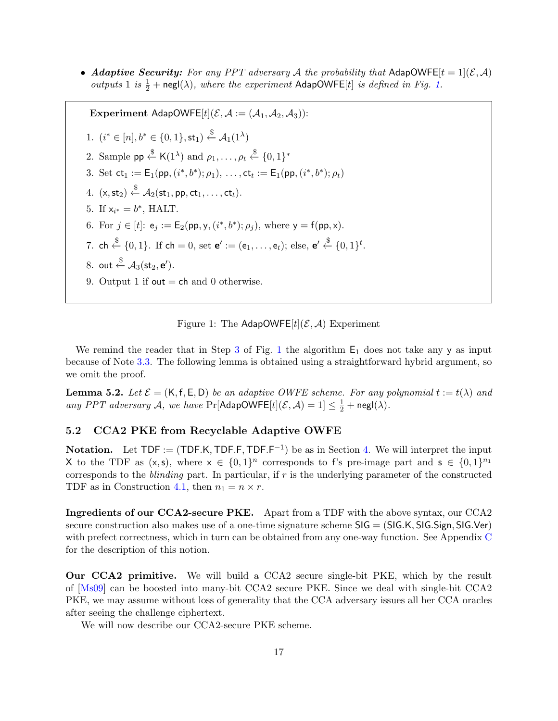<span id="page-16-3"></span>• Adaptive Security: For any PPT adversary A the probability that AdapOWFE $[t = 1](\mathcal{E}, \mathcal{A})$ outputs 1 is  $\frac{1}{2}$  + negl( $\lambda$ ), where the experiment AdapOWFE[t] is defined in Fig. [1.](#page-16-0)

<span id="page-16-1"></span>Experiment AdapOWFE[t]( $\mathcal{E}, \mathcal{A} := (\mathcal{A}_1, \mathcal{A}_2, \mathcal{A}_3)$ ): 1.  $(i^* \in [n], b^* \in \{0, 1\}, \mathsf{st}_1) \overset{\$}{\leftarrow} \mathcal{A}_1(1^{\lambda})$ 2. Sample  $pp \stackrel{\$}{\leftarrow} K(1^{\lambda})$  and  $\rho_1, \ldots, \rho_t \stackrel{\$}{\leftarrow} \{0,1\}^*$ 3. Set  $ct_1 := E_1(pp, (i^*, b^*); \rho_1), \ldots, ct_t := E_1(pp, (i^*, b^*); \rho_t)$ 4.  $(x, st_2) \stackrel{\$}{\leftarrow} \mathcal{A}_2(st_1, pp, ct_1, \ldots, ct_t).$ 5. If  $x_{i^*} = b^*$ , HALT. 6. For  $j \in [t]$ :  $e_j := E_2(pp, y, (i^*, b^*); \rho_j)$ , where  $y = f(pp, x)$ . 7. ch  $\xleftarrow{\$} \{0,1\}$ . If ch = 0, set  $\mathbf{e}' := (\mathsf{e}_1, \ldots, \mathsf{e}_t)$ ; else,  $\mathbf{e}' \xleftarrow{\$} \{0,1\}^t$ . 8. out  $\stackrel{\$}{\leftarrow}$   $\mathcal{A}_3(\mathsf{st}_2, \mathsf{e}').$ 9. Output 1 if out  $=$  ch and 0 otherwise.

<span id="page-16-0"></span>

We remind the reader that in Step [3](#page-16-1) of Fig. [1](#page-16-0) the algorithm  $E_1$  does not take any y as input because of Note [3.3.](#page-8-1) The following lemma is obtained using a straightforward hybrid argument, so we omit the proof.

<span id="page-16-2"></span>**Lemma 5.2.** Let  $\mathcal{E} = (K, f, E, D)$  be an adaptive OWFE scheme. For any polynomial  $t := t(\lambda)$  and any PPT adversary A, we have  $Pr[\text{AdapOWFE}[t](\mathcal{E}, \mathcal{A}) = 1] \leq \frac{1}{2} + \text{negl}(\lambda)$ .

### 5.2 CCA2 PKE from Recyclable Adaptive OWFE

**Notation.** Let  $TDF := (TDF.K, TDF.F, TDF.F^{-1})$  be as in Section [4.](#page-9-3) We will interpret the input X to the TDF as  $(x, s)$ , where  $x \in \{0, 1\}^n$  corresponds to f's pre-image part and  $s \in \{0, 1\}^{n_1}$ corresponds to the *blinding* part. In particular, if  $r$  is the underlying parameter of the constructed TDF as in Construction [4.1,](#page-9-1) then  $n_1 = n \times r$ .

Ingredients of our CCA2-secure PKE. Apart from a TDF with the above syntax, our CCA2 secure construction also makes use of a one-time signature scheme  $\text{SIG} = (\text{SIG} \cdot \text{K}, \text{SIG} \cdot \text{Sign}, \text{SIG} \cdot \text{Ver})$ with prefect correctness, which in turn can be obtained from any one-way function. See Appendix [C](#page-28-1) for the description of this notion.

Our CCA2 primitive. We will build a CCA2 secure single-bit PKE, which by the result of [\[Ms09\]](#page-25-11) can be boosted into many-bit CCA2 secure PKE. Since we deal with single-bit CCA2 PKE, we may assume without loss of generality that the CCA adversary issues all her CCA oracles after seeing the challenge ciphertext.

We will now describe our CCA2-secure PKE scheme.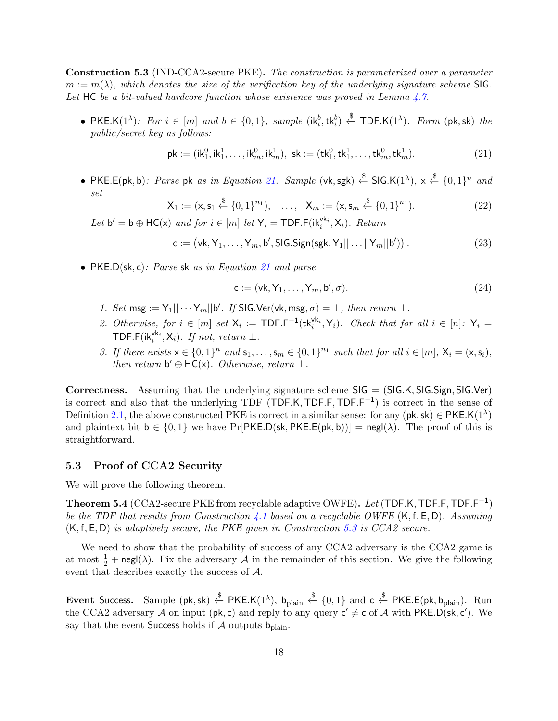<span id="page-17-1"></span>Construction 5.3 (IND-CCA2-secure PKE). The construction is parameterized over a parameter  $m := m(\lambda)$ , which denotes the size of the verification key of the underlying signature scheme SIG. Let HC be a bit-valued hardcore function whose existence was proved in Lemma [4.7.](#page-15-1)

• PKE.K $(1^{\lambda})$ : For  $i \in [m]$  and  $b \in \{0,1\}$ , sample  $(ik_i^b,tk_i^b) \stackrel{\$}{\leftarrow}$  TDF.K $(1^{\lambda})$ . Form  $(\mathsf{pk},\mathsf{sk})$  the public/secret key as follows:

<span id="page-17-0"></span>
$$
\mathsf{pk} := (\mathsf{ik}_1^0, \mathsf{ik}_1^1, \dots, \mathsf{ik}_m^0, \mathsf{ik}_m^1), \ \mathsf{sk} := (\mathsf{tk}_1^0, \mathsf{tk}_1^1, \dots, \mathsf{tk}_m^0, \mathsf{tk}_m^1). \tag{21}
$$

• PKE.E(pk, b): Parse pk as in Equation [21.](#page-17-0) Sample (vk, sgk)  $\xi$  SIG.K(1<sup> $\lambda$ </sup>),  $x \overset{\$}{\leftarrow} \{0,1\}^n$  and set

$$
\mathsf{X}_1 := (\mathsf{x}, \mathsf{s}_1 \stackrel{\$}{\leftarrow} \{0, 1\}^{n_1}), \quad \dots, \quad \mathsf{X}_m := (\mathsf{x}, \mathsf{s}_m \stackrel{\$}{\leftarrow} \{0, 1\}^{n_1}). \tag{22}
$$

Let  $b' = b \oplus \mathsf{HC}(x)$  and for  $i \in [m]$  let  $\mathsf{Y}_i = \mathsf{TDF.F}(\mathsf{ik}_i^{\mathsf{vk}_i}, \mathsf{X}_i)$ . Return

$$
\mathsf{c} := \big(\mathsf{vk}, \mathsf{Y}_1, \dots, \mathsf{Y}_m, \mathsf{b}', \mathsf{SIG}.\mathsf{Sign}(\mathsf{sgk}, \mathsf{Y}_1 || \dots || \mathsf{Y}_m || \mathsf{b}')\big) \,. \tag{23}
$$

• PKE.D(sk, c): Parse sk as in Equation [21](#page-17-0) and parse

$$
\mathsf{c} := (\mathsf{vk}, \mathsf{Y}_1, \dots, \mathsf{Y}_m, \mathsf{b}', \sigma). \tag{24}
$$

- 1. Set msg :=  $Y_1|| \cdots Y_m||b'$ . If SIG. Ver(vk, msg,  $\sigma$ ) =  $\bot$ , then return  $\bot$ .
- 2. Otherwise, for  $i \in [m]$  set  $X_i := \textsf{TDF.F}^{-1}(\textsf{tk}_i^{\textsf{vk}_i}, Y_i)$ . Check that for all  $i \in [n]: Y_i =$ TDF.F( $ik_i^{vk_i}, X_i$ ). If not, return  $\perp$ .
- 3. If there exists  $x \in \{0,1\}^n$  and  $s_1, \ldots, s_m \in \{0,1\}^{n_1}$  such that for all  $i \in [m]$ ,  $X_i = (x, s_i)$ , then return  $b' \oplus HC(x)$ . Otherwise, return  $\perp$ .

Correctness. Assuming that the underlying signature scheme  $SIG = (SIG.K, SIG.Sign, SIG.Ver)$ is correct and also that the underlying TDF (TDF.K, TDF.F, TDF.F<sup>-1</sup>) is correct in the sense of Definition [2.1,](#page-6-0) the above constructed PKE is correct in a similar sense: for any ( $pk, sk$ )  $\in$  PKE.K( $1^{\lambda}$ ) and plaintext bit  $b \in \{0,1\}$  we have Pr[PKE.D(sk, PKE.E(pk, b))] = negl( $\lambda$ ). The proof of this is straightforward.

### 5.3 Proof of CCA2 Security

We will prove the following theorem.

<span id="page-17-2"></span>**Theorem 5.4** (CCA2-secure PKE from recyclable adaptive OWFE). Let (TDF.K, TDF.F, TDF.F<sup>-1</sup>) be the TDF that results from Construction [4.1](#page-9-1) based on a recyclable OWFE  $(K, f, E, D)$ . Assuming  $(K, f, E, D)$  is adaptively secure, the PKE given in Construction [5.3](#page-17-1) is CCA2 secure.

We need to show that the probability of success of any CCA2 adversary is the CCA2 game is at most  $\frac{1}{2}$  + negl( $\lambda$ ). Fix the adversary  $\mathcal A$  in the remainder of this section. We give the following event that describes exactly the success of A.

Event Success. Sample (pk, sk) ← PKE.K(1<sup> $\lambda$ </sup>), b<sub>plain</sub> ← {0,1} and c ← PKE.E(pk, b<sub>plain</sub>). Run the CCA2 adversary A on input ( $pk$ , c) and reply to any query  $c' \neq c$  of A with PKE.D( $sk$ ,  $c'$ ). We say that the event Success holds if  $\mathcal A$  outputs  $b_{\text{plain}}$ .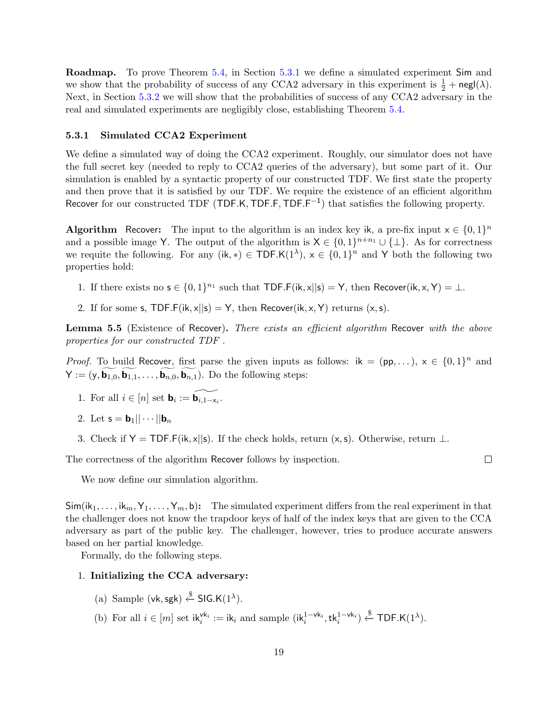Roadmap. To prove Theorem [5.4,](#page-17-2) in Section [5.3.1](#page-18-0) we define a simulated experiment Sim and we show that the probability of success of any CCA2 adversary in this experiment is  $\frac{1}{2} + \text{negl}(\lambda)$ . Next, in Section [5.3.2](#page-19-0) we will show that the probabilities of success of any CCA2 adversary in the real and simulated experiments are negligibly close, establishing Theorem [5.4.](#page-17-2)

### <span id="page-18-0"></span>5.3.1 Simulated CCA2 Experiment

We define a simulated way of doing the CCA2 experiment. Roughly, our simulator does not have the full secret key (needed to reply to CCA2 queries of the adversary), but some part of it. Our simulation is enabled by a syntactic property of our constructed TDF. We first state the property and then prove that it is satisfied by our TDF. We require the existence of an efficient algorithm Recover for our constructed TDF (TDF.K, TDF.F, TDF.F<sup>-1</sup>) that satisfies the following property.

**Algorithm** Recover: The input to the algorithm is an index key ik, a pre-fix input  $x \in \{0,1\}^n$ and a possible image Y. The output of the algorithm is  $X \in \{0,1\}^{n+n_1} \cup \{\perp\}$ . As for correctness we requite the following. For any  $(ik, *) \in TDF.K(1^{\lambda}), x \in \{0,1\}^n$  and Y both the following two properties hold:

- 1. If there exists no  $s \in \{0,1\}^{n_1}$  such that TDF.F(ik, x||s) = Y, then Recover(ik, x, Y) =  $\perp$ .
- 2. If for some s, TDF.F(ik,  $x||s$ ) = Y, then Recover(ik, x, Y) returns (x, s).

**Lemma 5.5** (Existence of Recover). There exists an efficient algorithm Recover with the above properties for our constructed TDF .

*Proof.* To build Recover, first parse the given inputs as follows:  $ik = (pp,...), x \in \{0,1\}^n$  and  $\mathsf{Y} := (\mathsf{y}, \widetilde{\mathbf{b}_{1,0}}, \widetilde{\mathbf{b}_{1,1}}, \ldots, \widetilde{\mathbf{b}_{n,0}}, \widetilde{\mathbf{b}_{n,1}}).$  Do the following steps:

- 1. For all  $i \in [n]$  set  $\mathbf{b}_i := \widetilde{\mathbf{b}_{i,1-x_i}}$ .
- 2. Let  $\mathsf{s} = \mathsf{b}_1 || \cdots || \mathsf{b}_n$
- 3. Check if Y = TDF.F(ik, x||s). If the check holds, return  $(x, s)$ . Otherwise, return  $\perp$ .

The correctness of the algorithm Recover follows by inspection.

 $\Box$ 

We now define our simulation algorithm.

 $\textsf{Sim}(ik_1, \ldots, i k_m, Y_1, \ldots, Y_m, b)$ : The simulated experiment differs from the real experiment in that the challenger does not know the trapdoor keys of half of the index keys that are given to the CCA adversary as part of the public key. The challenger, however, tries to produce accurate answers based on her partial knowledge.

Formally, do the following steps.

#### 1. Initializing the CCA adversary:

- (a) Sample (vk, sgk)  $\stackrel{\$}{\leftarrow}$  SIG.K(1<sup> $\lambda$ </sup>).
- (b) For all  $i \in [m]$  set  $ik_i^{vk_i} := ik_i$  and sample  $(ik_i^{1-vk_i}, tk_i^{1-vk_i}) \stackrel{\$}{\leftarrow} \textsf{TDF.K}(1^{\lambda}).$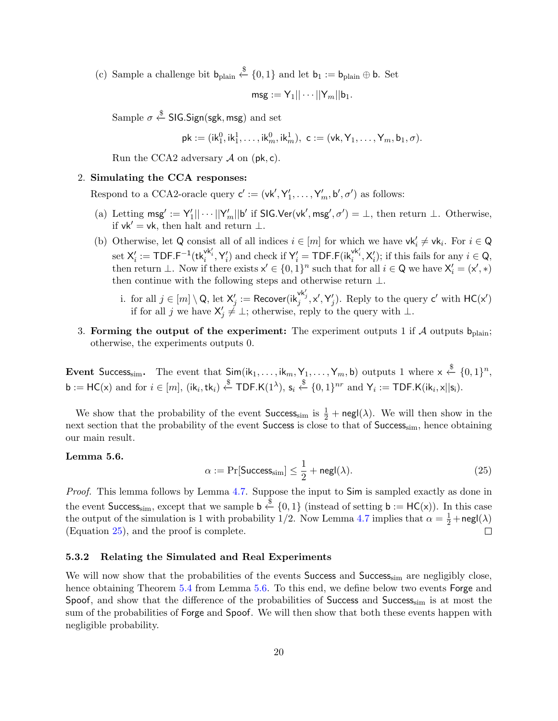(c) Sample a challenge bit  $b_{\text{plain}} \stackrel{\$}{\leftarrow} \{0,1\}$  and let  $b_1 := b_{\text{plain}} \oplus b$ . Set

$$
\mathsf{msg} := \mathsf{Y}_1 || \cdots ||\mathsf{Y}_m || \mathsf{b}_1.
$$

Sample  $\sigma \overset{\$}{\leftarrow}$  SIG.Sign(sgk, msg) and set

$$
\mathsf{pk} := (\mathsf{ik}_1^0,\mathsf{ik}_1^1,\ldots,\mathsf{ik}_m^0,\mathsf{ik}_m^1),\ \mathsf{c} := (\mathsf{vk},\mathsf{Y}_1,\ldots,\mathsf{Y}_m,\mathsf{b}_1,\sigma).
$$

Run the CCA2 adversary  $\mathcal A$  on (pk, c).

#### 2. Simulating the CCA responses:

Respond to a CCA2-oracle query  $\mathbf{c}' := (\mathsf{vk}', \mathsf{Y}'_1, \dots, \mathsf{Y}'_m, \mathsf{b}', \sigma')$  as follows:

- (a) Letting  $\mathsf{msg'} := \mathsf{Y'_1} \|\cdots ||\mathsf{Y'_m}||\mathsf{b'}$  if  $\mathsf{SIG}.\mathsf{Ver}(\mathsf{vk'},\mathsf{msg'},\sigma') = \bot$ , then return  $\bot$ . Otherwise, if vk<sup> $\prime$ </sup> = vk, then halt and return ⊥.
- <span id="page-19-3"></span>(b) Otherwise, let Q consist all of all indices  $i \in [m]$  for which we have  $\mathsf{vk}'_i \neq \mathsf{vk}_i$ . For  $i \in \mathsf{Q}$ set  $X'_i := \textsf{TDF.F}^{-1}(\textsf{tk}_i^{\textsf{vk}'_i}, Y'_i)$  and check if  $Y'_i = \textsf{TDF.F}(\textsf{ik}_i^{\textsf{vk}'_i}, X'_i)$ ; if this fails for any  $i \in \textsf{Q}$ , then return  $\perp$ . Now if there exists  $x' \in \{0,1\}^n$  such that for all  $i \in \mathsf{Q}$  we have  $\mathsf{X}'_i = (\mathsf{x}',\ast)$ then continue with the following steps and otherwise return  $\bot$ .
	- i. for all  $j \in [m] \setminus \mathsf{Q}$ , let  $\mathsf{X}'_j := \mathsf{Recover}(\mathsf{ik}_j^{\mathsf{vk}'_j}, \mathsf{x}', \mathsf{Y}'_j)$ . Reply to the query  $\mathsf{c}'$  with  $\mathsf{HC}(\mathsf{x}')$ if for all j we have  $X'_j \neq \bot$ ; otherwise, reply to the query with  $\bot$ .
- <span id="page-19-4"></span>3. Forming the output of the experiment: The experiment outputs 1 if A outputs  $b_{\text{plain}}$ ; otherwise, the experiments outputs 0.

Event Success<sub>sim</sub>. The event that  $\mathsf{Sim}(\mathsf{ik}_1,\ldots,\mathsf{ik}_m,\mathsf{Y}_1,\ldots,\mathsf{Y}_m,\mathsf{b})$  outputs 1 where  $\mathsf{x} \overset{\$}{\leftarrow} \{0,1\}^n,$  $\mathsf{b} := \mathsf{HC}(\mathsf{x})$  and for  $i \in [m]$ ,  $(\mathsf{i}\mathsf{k}_i, \mathsf{t}\mathsf{k}_i) \stackrel{\$}{\leftarrow} \mathsf{TDF}.\mathsf{K}(1^{\lambda}), \mathsf{s}_i \stackrel{\$}{\leftarrow} \{0,1\}^{nr}$  and  $\mathsf{Y}_i := \mathsf{TDF}.\mathsf{K}(\mathsf{i}\mathsf{k}_i, \mathsf{x} \vert \vert \mathsf{s}_i).$ 

We show that the probability of the event  $\mathsf{Success}_{\text{sim}}$  is  $\frac{1}{2} + \mathsf{negl}(\lambda)$ . We will then show in the next section that the probability of the event Success is close to that of Success<sub>sim</sub>, hence obtaining our main result.

### <span id="page-19-2"></span>Lemma 5.6.

<span id="page-19-1"></span>
$$
\alpha := \Pr[\text{Success}_{\text{sim}}] \le \frac{1}{2} + \text{negl}(\lambda). \tag{25}
$$

*Proof.* This lemma follows by Lemma [4.7.](#page-15-1) Suppose the input to Sim is sampled exactly as done in the event Success<sub>sim</sub>, except that we sample  $b \stackrel{\$}{\leftarrow} \{0,1\}$  (instead of setting  $b := \mathsf{HC}(x)$ ). In this case the output of the simulation is 1 with probability 1/2. Now Lemma [4.7](#page-15-1) implies that  $\alpha = \frac{1}{2} + \text{negl}(\lambda)$ (Equation [25\)](#page-19-1), and the proof is complete.  $\Box$ 

#### <span id="page-19-0"></span>5.3.2 Relating the Simulated and Real Experiments

We will now show that the probabilities of the events Success and Success<sub>sim</sub> are negligibly close, hence obtaining Theorem [5.4](#page-17-2) from Lemma [5.6.](#page-19-2) To this end, we define below two events Forge and Spoof, and show that the difference of the probabilities of Success and Success<sub>sim</sub> is at most the sum of the probabilities of Forge and Spoof. We will then show that both these events happen with negligible probability.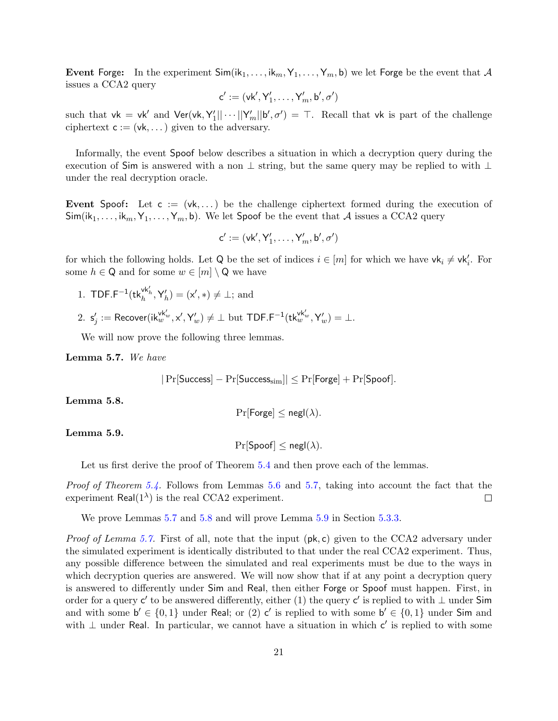**Event Forge:** In the experiment  $\textsf{Sim}(ik_1, \ldots, ik_m, Y_1, \ldots, Y_m, b)$  we let Forge be the event that A issues a CCA2 query

$$
\mathsf{c}' := (\mathsf{vk}', \mathsf{Y}'_1, \ldots, \mathsf{Y}'_m, \mathsf{b}', \sigma')
$$

such that  $vk = vk'$  and  $Ver(vk, Y'_1 || \cdots ||Y'_m || b', \sigma') = \top$ . Recall that vk is part of the challenge ciphertext  $c := (vk, ...)$  given to the adversary.

Informally, the event Spoof below describes a situation in which a decryption query during the execution of Sim is answered with a non ⊥ string, but the same query may be replied to with ⊥ under the real decryption oracle.

Event Spoof: Let  $c := (vk, ...)$  be the challenge ciphertext formed during the execution of  $\textsf{Sim}(ik_1, \ldots, ik_m, Y_1, \ldots, Y_m, b)$ . We let Spoof be the event that A issues a CCA2 query

$$
\mathsf{c}' := (\mathsf{vk}', \mathsf{Y}'_1, \ldots, \mathsf{Y}'_m, \mathsf{b}', \sigma')
$$

for which the following holds. Let Q be the set of indices  $i \in [m]$  for which we have  $\mathsf{vk}_i \neq \mathsf{vk}_i'$ . For some  $h \in \mathbb{Q}$  and for some  $w \in [m] \setminus \mathbb{Q}$  we have

- 1. TDF.F<sup>-1</sup>( $\mathsf{tk}_h^{\mathsf{vk}'_h}, \mathsf{Y}'_h$ ) = (x', \*)  $\neq \bot$ ; and
- $2. \, \, {\sf s}_j' := \mathsf{Recover}(\mathsf{i}\mathsf{k}_w^{\mathsf{vk}_w'}, \mathsf{x}', \mathsf{Y}'_w) \neq \bot \,\, \text{but} \,\, \mathsf{TDF}.\mathsf{F}^{-1}(\mathsf{tk}_w^{\mathsf{vk}_w'}, \mathsf{Y}'_w) = \bot.$

We will now prove the following three lemmas.

<span id="page-20-0"></span>Lemma 5.7. We have

$$
|\Pr[\mathsf{Success}] - \Pr[\mathsf{Success}_\text{sim}]| \leq \Pr[\mathsf{Forge}] + \Pr[\mathsf{Spoof}].
$$

<span id="page-20-1"></span>Lemma 5.8.

 $Pr[Forge] \leq negl(\lambda)$ .

#### <span id="page-20-2"></span>Lemma 5.9.

 $Pr[{\mathsf{Spoof}}] \leq negl(\lambda).$ 

Let us first derive the proof of Theorem [5.4](#page-17-2) and then prove each of the lemmas.

Proof of Theorem [5.4.](#page-17-2) Follows from Lemmas [5.6](#page-19-2) and [5.7,](#page-20-0) taking into account the fact that the experiment Real $(1^{\lambda})$  is the real CCA2 experiment.  $\Box$ 

We prove Lemmas [5.7](#page-20-0) and [5.8](#page-20-1) and will prove Lemma [5.9](#page-20-2) in Section [5.3.3.](#page-21-0)

*Proof of Lemma [5.7.](#page-20-0)* First of all, note that the input  $(\mathsf{pk}, \mathsf{c})$  given to the CCA2 adversary under the simulated experiment is identically distributed to that under the real CCA2 experiment. Thus, any possible difference between the simulated and real experiments must be due to the ways in which decryption queries are answered. We will now show that if at any point a decryption query is answered to differently under Sim and Real, then either Forge or Spoof must happen. First, in order for a query c' to be answered differently, either (1) the query c' is replied to with  $\perp$  under Sim and with some  $b' \in \{0,1\}$  under Real; or (2) c' is replied to with some  $b' \in \{0,1\}$  under Sim and with  $\perp$  under Real. In particular, we cannot have a situation in which c' is replied to with some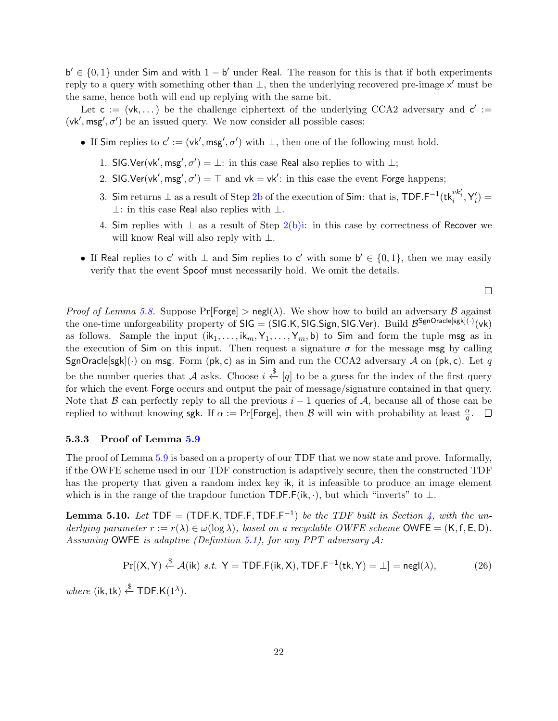$b' \in \{0,1\}$  under Sim and with  $1 - b'$  under Real. The reason for this is that if both experiments reply to a query with something other than  $\perp$ , then the underlying recovered pre-image x' must be the same, hence both will end up replying with the same bit.

Let  $c := (vk, ...)$  be the challenge ciphertext of the underlying CCA2 adversary and  $c' :=$  $(vk', msg', \sigma')$  be an issued query. We now consider all possible cases:

- If Sim replies to  $c' := (vk', msg', \sigma')$  with  $\perp$ , then one of the following must hold.
	- 1. SIG.Ver(vk', msg',  $\sigma'$ ) =  $\perp$ : in this case Real also replies to with  $\perp$ ;
	- 2. SIG.Ver(vk', msg',  $\sigma'$ ) =  $\top$  and vk = vk': in this case the event Forge happens;
	- 3. Sim returns ⊥ as a result of Step [2b](#page-19-3) of the execution of Sim: that is, TDF.F<sup>-1</sup>(tk $^{vk'_i}_i$ ,Y'<sub>i</sub>) = ⊥: in this case Real also replies with ⊥.
	- 4. Sim replies with  $\perp$  as a result of Step [2\(b\)i:](#page-19-4) in this case by correctness of Recover we will know Real will also reply with ⊥.
- If Real replies to c' with  $\perp$  and Sim replies to c' with some  $b' \in \{0,1\}$ , then we may easily verify that the event Spoof must necessarily hold. We omit the details.

*Proof of Lemma [5.8.](#page-20-1)* Suppose  $Pr[Forgel] > negl(\lambda)$ . We show how to build an adversary B against the one-time unforgeability property of  $\mathsf{SIG} = (\mathsf{SIG.K}, \mathsf{SIG}.Sign, \mathsf{SIG.Ver}).$  Build  $\mathcal{B}^{\mathsf{SgnOracle}[\mathsf{sgk}](\cdot)}(\mathsf{vk})$ as follows. Sample the input  $(ik_1, \ldots, ik_m, Y_1, \ldots, Y_m, b)$  to Sim and form the tuple msg as in the execution of Sim on this input. Then request a signature  $\sigma$  for the message msg by calling SgnOracle[sgk](.) on msg. Form (pk, c) as in Sim and run the CCA2 adversary A on (pk, c). Let q be the number queries that A asks. Choose  $i \stackrel{\$}{\leftarrow} [q]$  to be a guess for the index of the first query for which the event Forge occurs and output the pair of message/signature contained in that query. Note that B can perfectly reply to all the previous  $i-1$  queries of A, because all of those can be replied to without knowing sgk. If  $\alpha := \Pr[\text{Forge}],$  then  $\mathcal B$  will win with probability at least  $\frac{\alpha}{q}$ .

#### <span id="page-21-0"></span>5.3.3 Proof of Lemma [5.9](#page-20-2)

The proof of Lemma [5.9](#page-20-2) is based on a property of our TDF that we now state and prove. Informally, if the OWFE scheme used in our TDF construction is adaptively secure, then the constructed TDF has the property that given a random index key ik, it is infeasible to produce an image element which is in the range of the trapdoor function TDF.F(ik,  $\cdot$ ), but which "inverts" to  $\bot$ .

<span id="page-21-1"></span>**Lemma 5.10.** Let  $TDF = (TDF.K, TDF.F, TDF.F^{-1})$  be the TDF built in Section [4,](#page-9-3) with the underlying parameter  $r := r(\lambda) \in \omega(\log \lambda)$ , based on a recyclable OWFE scheme OWFE =  $(K, f, E, D)$ . Assuming OWFE is adaptive (Definition [5.1\)](#page-15-2), for any PPT adversary  $A$ :

$$
\Pr[(X, Y) \stackrel{\$}{\leftarrow} \mathcal{A}(ik) \ s.t. \ Y = \mathsf{TDF.F}(ik, X), \mathsf{TDF.F}^{-1}(tk, Y) = \bot] = \mathsf{negl}(\lambda), \tag{26}
$$

where (ik, tk)  $\xleftarrow{\$}$  TDF.K(1<sup> $\lambda$ </sup>).

 $\Box$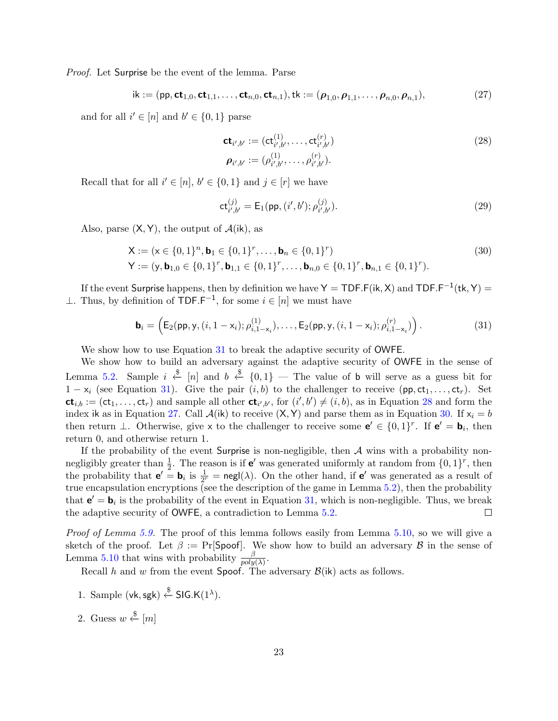*Proof.* Let Surprise be the event of the lemma. Parse

<span id="page-22-2"></span>
$$
ik := (pp, ct_{1,0}, ct_{1,1},...,ct_{n,0}, ct_{n,1}), tk := (\rho_{1,0}, \rho_{1,1},..., \rho_{n,0}, \rho_{n,1}),
$$
\n(27)

and for all  $i' \in [n]$  and  $b' \in \{0, 1\}$  parse

<span id="page-22-1"></span>
$$
\mathbf{ct}_{i',b'} := (\mathbf{ct}_{i',b'}^{(1)}, \dots, \mathbf{ct}_{i',b'}^{(r)}) \n\rho_{i',b'} := (\rho_{i',b'}^{(1)}, \dots, \rho_{i',b'}^{(r)}).
$$
\n(28)

Recall that for all  $i' \in [n], b' \in \{0,1\}$  and  $j \in [r]$  we have

<span id="page-22-3"></span>
$$
\mathsf{ct}_{i',b'}^{(j)} = \mathsf{E}_1(\mathsf{pp}, (i',b'); \rho_{i',b'}^{(j)}).
$$
 (29)

Also, parse  $(X, Y)$ , the output of  $\mathcal{A}(ik)$ , as

$$
\mathbf{X} := (\mathbf{x} \in \{0, 1\}^n, \mathbf{b}_1 \in \{0, 1\}^r, \dots, \mathbf{b}_n \in \{0, 1\}^r)
$$
\n
$$
\mathbf{Y} := (\mathbf{y}, \mathbf{b}_{1,0} \in \{0, 1\}^r, \mathbf{b}_{1,1} \in \{0, 1\}^r, \dots, \mathbf{b}_{n,0} \in \{0, 1\}^r, \mathbf{b}_{n,1} \in \{0, 1\}^r).
$$
\n(30)

If the event Surprise happens, then by definition we have  $\mathsf{Y} = \mathsf{TDF.F}(\mathsf{ik}, \mathsf{X})$  and  $\mathsf{TDF.F}^{-1}(\mathsf{tk}, \mathsf{Y}) =$ ⊥. Thus, by definition of  $\text{TOF.F}^{-1}$ , for some  $i \in [n]$  we must have

<span id="page-22-0"></span>
$$
\mathbf{b}_{i} = \left( \mathsf{E}_{2}(\mathsf{pp}, \mathsf{y}, (i, 1 - \mathsf{x}_{i}); \rho_{i, 1 - \mathsf{x}_{i}}^{(1)}), \dots, \mathsf{E}_{2}(\mathsf{pp}, \mathsf{y}, (i, 1 - \mathsf{x}_{i}); \rho_{i, 1 - \mathsf{x}_{i}}^{(r)}) \right).
$$
(31)

We show how to use Equation [31](#page-22-0) to break the adaptive security of **OWFE**.

We show how to build an adversary against the adaptive security of OWFE in the sense of Lemma [5.2.](#page-16-2) Sample  $i \stackrel{\$}{\leftarrow} [n]$  and  $b \stackrel{\$}{\leftarrow} \{0,1\}$  — The value of b will serve as a guess bit for  $1 - x_i$  (see Equation [31\)](#page-22-0). Give the pair  $(i, b)$  to the challenger to receive (pp, ct<sub>1</sub>, ..., ct<sub>r</sub>). Set  $ct_{i,b} := (ct_1, \ldots, ct_r)$  and sample all other  $ct_{i',b'}$ , for  $(i',b') \neq (i,b)$ , as in Equation [28](#page-22-1) and form the index ik as in Equation [27.](#page-22-2) Call  $\mathcal{A}(ik)$  to receive  $(X, Y)$  and parse them as in Equation [30.](#page-22-3) If  $x_i = b$ then return  $\perp$ . Otherwise, give x to the challenger to receive some  $\mathbf{e}' \in \{0,1\}^r$ . If  $\mathbf{e}' = \mathbf{b}_i$ , then return 0, and otherwise return 1.

If the probability of the event Surprise is non-negligible, then  $A$  wins with a probability nonnegligibly greater than  $\frac{1}{2}$ . The reason is if **e'** was generated uniformly at random from  $\{0,1\}^r$ , then the probability that  $e' = b_i$  is  $\frac{1}{2^r} = \text{negl}(\lambda)$ . On the other hand, if  $e'$  was generated as a result of true encapsulation encryptions (see the description of the game in Lemma [5.2\)](#page-16-2), then the probability that  $e' = b_i$  is the probability of the event in Equation [31,](#page-22-0) which is non-negligible. Thus, we break the adaptive security of OWFE, a contradiction to Lemma [5.2.](#page-16-2)  $\Box$ 

Proof of Lemma [5.9.](#page-20-2) The proof of this lemma follows easily from Lemma [5.10,](#page-21-1) so we will give a sketch of the proof. Let  $\beta := \Pr[\mathsf{Spoof}]$ . We show how to build an adversary  $\beta$  in the sense of Lemma [5.10](#page-21-1) that wins with probability  $\frac{\beta}{poly(\lambda)}$ .

Recall h and w from the event Spoof. The adversary  $\mathcal{B}(ik)$  acts as follows.

- 1. Sample (vk, sgk)  $\xi$  SIG.K(1<sup> $\lambda$ </sup>).
- 2. Guess  $w \stackrel{\$}{\leftarrow} [m]$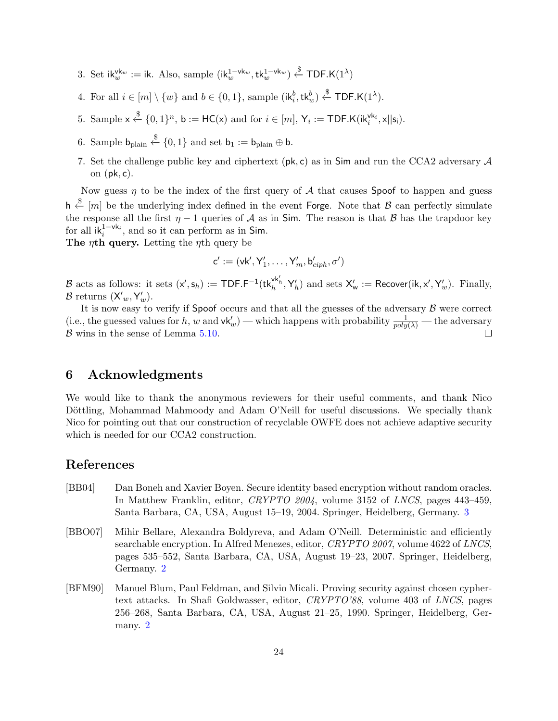- 3. Set ik $w^{k_w} :=$  ik. Also, sample  $(ik_w^{1-vk_w}, tk_w^{1-vk_w}) \stackrel{\$}{\leftarrow} \textsf{TDF.K}(1^\lambda)$
- 4. For all  $i \in [m] \setminus \{w\}$  and  $b \in \{0,1\}$ , sample  $(\mathsf{ik}_i^b, \mathsf{tk}_w^b) \stackrel{\$}{\leftarrow} \mathsf{TDF}.\mathsf{K}(1^\lambda)$ .
- 5. Sample  $x \stackrel{\$}{\leftarrow} \{0,1\}^n$ ,  $b := HC(x)$  and for  $i \in [m]$ ,  $Y_i := TDF.K(ik_i^{vk_i}, x||s_i)$ .
- 6. Sample  $b_{\text{plain}} \stackrel{\$}{\leftarrow} \{0,1\}$  and set  $b_1 := b_{\text{plain}} \oplus b$ .
- 7. Set the challenge public key and ciphertext ( $pk, c$ ) as in Sim and run the CCA2 adversary A on  $(\mathsf{pk}, \mathsf{c})$ .

Now guess  $\eta$  to be the index of the first query of A that causes Spoof to happen and guess h  $\stackrel{\$}{\leftarrow}$  [m] be the underlying index defined in the event Forge. Note that  $\beta$  can perfectly simulate the response all the first  $\eta - 1$  queries of A as in Sim. The reason is that B has the trapdoor key for all  $ik_i^{1-vk_i}$ , and so it can perform as in Sim.

The  $\eta$ th query. Letting the  $\eta$ th query be

$$
\mathsf{c}':=(\mathsf{vk}',\mathsf{Y}'_1,\ldots,\mathsf{Y}'_m,\mathsf{b}'_{ciph},\sigma')
$$

B acts as follows: it sets  $(x', s_h) := \text{TDF.F}^{-1}(\text{tk}_h^{\text{vk}'_h}, Y'_h)$  and sets  $X'_w := \text{Recover}(\text{ik}, x', Y'_w)$ . Finally,  $\mathcal{B}$  returns  $(X'_{w}, Y'_{w}).$ 

It is now easy to verify if Spoof occurs and that all the guesses of the adversary  $\beta$  were correct (i.e., the guessed values for h, w and  $\mathsf{vk}'_w$ ) — which happens with probability  $\frac{1}{poly(\lambda)}$  — the adversary  $\mathcal B$  wins in the sense of Lemma [5.10.](#page-21-1) □

# 6 Acknowledgments

We would like to thank the anonymous reviewers for their useful comments, and thank Nico Döttling, Mohammad Mahmoody and Adam O'Neill for useful discussions. We specially thank Nico for pointing out that our construction of recyclable OWFE does not achieve adaptive security which is needed for our CCA2 construction.

# References

- <span id="page-23-2"></span>[BB04] Dan Boneh and Xavier Boyen. Secure identity based encryption without random oracles. In Matthew Franklin, editor, CRYPTO 2004, volume 3152 of LNCS, pages 443–459, Santa Barbara, CA, USA, August 15–19, 2004. Springer, Heidelberg, Germany. [3](#page-2-0)
- <span id="page-23-1"></span>[BBO07] Mihir Bellare, Alexandra Boldyreva, and Adam O'Neill. Deterministic and efficiently searchable encryption. In Alfred Menezes, editor, CRYPTO 2007, volume 4622 of LNCS, pages 535–552, Santa Barbara, CA, USA, August 19–23, 2007. Springer, Heidelberg, Germany. [2](#page-1-1)
- <span id="page-23-0"></span>[BFM90] Manuel Blum, Paul Feldman, and Silvio Micali. Proving security against chosen cyphertext attacks. In Shafi Goldwasser, editor, CRYPTO'88, volume 403 of LNCS, pages 256–268, Santa Barbara, CA, USA, August 21–25, 1990. Springer, Heidelberg, Germany. [2](#page-1-1)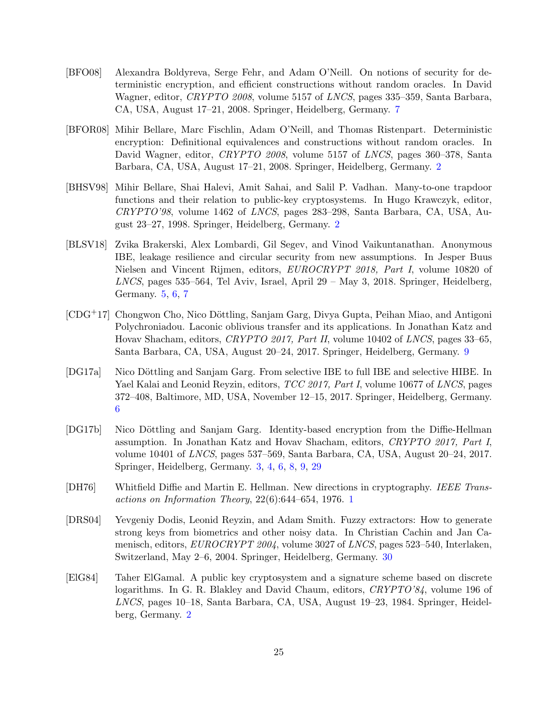- <span id="page-24-7"></span>[BFO08] Alexandra Boldyreva, Serge Fehr, and Adam O'Neill. On notions of security for deterministic encryption, and efficient constructions without random oracles. In David Wagner, editor, CRYPTO 2008, volume 5157 of LNCS, pages 335–359, Santa Barbara, CA, USA, August 17–21, 2008. Springer, Heidelberg, Germany. [7](#page-6-1)
- <span id="page-24-3"></span>[BFOR08] Mihir Bellare, Marc Fischlin, Adam O'Neill, and Thomas Ristenpart. Deterministic encryption: Definitional equivalences and constructions without random oracles. In David Wagner, editor, *CRYPTO 2008*, volume 5157 of *LNCS*, pages 360–378, Santa Barbara, CA, USA, August 17–21, 2008. Springer, Heidelberg, Germany. [2](#page-1-1)
- <span id="page-24-2"></span>[BHSV98] Mihir Bellare, Shai Halevi, Amit Sahai, and Salil P. Vadhan. Many-to-one trapdoor functions and their relation to public-key cryptosystems. In Hugo Krawczyk, editor, CRYPTO'98, volume 1462 of LNCS, pages 283–298, Santa Barbara, CA, USA, August 23–27, 1998. Springer, Heidelberg, Germany. [2](#page-1-1)
- <span id="page-24-5"></span>[BLSV18] Zvika Brakerski, Alex Lombardi, Gil Segev, and Vinod Vaikuntanathan. Anonymous IBE, leakage resilience and circular security from new assumptions. In Jesper Buus Nielsen and Vincent Rijmen, editors, EUROCRYPT 2018, Part I, volume 10820 of LNCS, pages 535–564, Tel Aviv, Israel, April 29 – May 3, 2018. Springer, Heidelberg, Germany. [5,](#page-4-2) [6,](#page-5-0) [7](#page-6-1)
- <span id="page-24-8"></span>[CDG<sup>+</sup>17] Chongwon Cho, Nico Döttling, Sanjam Garg, Divya Gupta, Peihan Miao, and Antigoni Polychroniadou. Laconic oblivious transfer and its applications. In Jonathan Katz and Hovav Shacham, editors, CRYPTO 2017, Part II, volume 10402 of LNCS, pages 33–65, Santa Barbara, CA, USA, August 20–24, 2017. Springer, Heidelberg, Germany. [9](#page-8-3)
- <span id="page-24-6"></span>[DG17a] Nico Döttling and Sanjam Garg. From selective IBE to full IBE and selective HIBE. In Yael Kalai and Leonid Reyzin, editors, TCC 2017, Part I, volume 10677 of LNCS, pages 372–408, Baltimore, MD, USA, November 12–15, 2017. Springer, Heidelberg, Germany. [6](#page-5-0)
- <span id="page-24-4"></span>[DG17b] Nico Döttling and Sanjam Garg. Identity-based encryption from the Diffie-Hellman assumption. In Jonathan Katz and Hovav Shacham, editors, CRYPTO 2017, Part I, volume 10401 of LNCS, pages 537–569, Santa Barbara, CA, USA, August 20–24, 2017. Springer, Heidelberg, Germany. [3,](#page-2-0) [4,](#page-3-2) [6,](#page-5-0) [8,](#page-7-3) [9,](#page-8-3) [29](#page-28-2)
- <span id="page-24-0"></span>[DH76] Whitfield Diffie and Martin E. Hellman. New directions in cryptography. IEEE Transactions on Information Theory,  $22(6)$ :644–654, [1](#page-0-1)976. 1
- <span id="page-24-9"></span>[DRS04] Yevgeniy Dodis, Leonid Reyzin, and Adam Smith. Fuzzy extractors: How to generate strong keys from biometrics and other noisy data. In Christian Cachin and Jan Camenisch, editors, EUROCRYPT 2004, volume 3027 of LNCS, pages 523–540, Interlaken, Switzerland, May 2–6, 2004. Springer, Heidelberg, Germany. [30](#page-29-0)
- <span id="page-24-1"></span>[ElG84] Taher ElGamal. A public key cryptosystem and a signature scheme based on discrete logarithms. In G. R. Blakley and David Chaum, editors, CRYPTO'84, volume 196 of LNCS, pages 10–18, Santa Barbara, CA, USA, August 19–23, 1984. Springer, Heidelberg, Germany. [2](#page-1-1)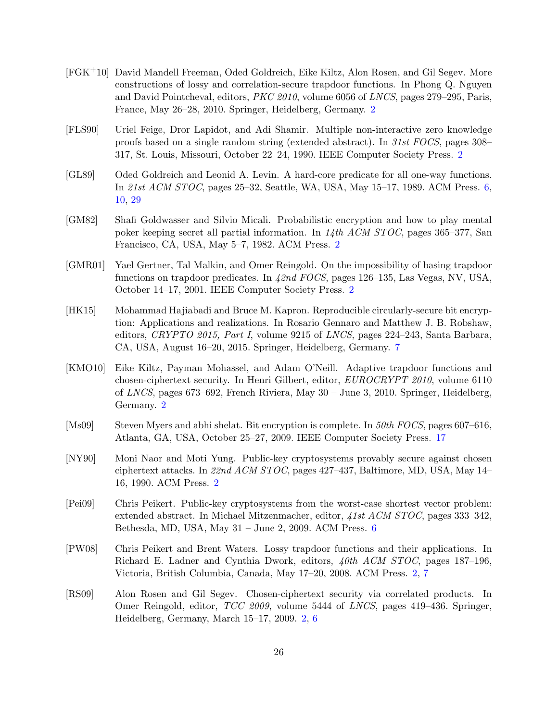- <span id="page-25-7"></span>[FGK+10] David Mandell Freeman, Oded Goldreich, Eike Kiltz, Alon Rosen, and Gil Segev. More constructions of lossy and correlation-secure trapdoor functions. In Phong Q. Nguyen and David Pointcheval, editors, PKC 2010, volume 6056 of LNCS, pages 279–295, Paris, France, May 26–28, 2010. Springer, Heidelberg, Germany. [2](#page-1-1)
- <span id="page-25-4"></span>[FLS90] Uriel Feige, Dror Lapidot, and Adi Shamir. Multiple non-interactive zero knowledge proofs based on a single random string (extended abstract). In 31st FOCS, pages 308– 317, St. Louis, Missouri, October 22–24, 1990. IEEE Computer Society Press. [2](#page-1-1)
- <span id="page-25-8"></span>[GL89] Oded Goldreich and Leonid A. Levin. A hard-core predicate for all one-way functions. In 21st ACM STOC, pages 25–32, Seattle, WA, USA, May 15–17, 1989. ACM Press. [6,](#page-5-0) [10,](#page-9-4) [29](#page-28-2)
- <span id="page-25-6"></span>[GM82] Shafi Goldwasser and Silvio Micali. Probabilistic encryption and how to play mental poker keeping secret all partial information. In 14th ACM STOC, pages 365–377, San Francisco, CA, USA, May 5–7, 1982. ACM Press. [2](#page-1-1)
- <span id="page-25-5"></span>[GMR01] Yael Gertner, Tal Malkin, and Omer Reingold. On the impossibility of basing trapdoor functions on trapdoor predicates. In 42nd FOCS, pages 126–135, Las Vegas, NV, USA, October 14–17, 2001. IEEE Computer Society Press. [2](#page-1-1)
- <span id="page-25-10"></span>[HK15] Mohammad Hajiabadi and Bruce M. Kapron. Reproducible circularly-secure bit encryption: Applications and realizations. In Rosario Gennaro and Matthew J. B. Robshaw, editors, CRYPTO 2015, Part I, volume 9215 of LNCS, pages 224–243, Santa Barbara, CA, USA, August 16–20, 2015. Springer, Heidelberg, Germany. [7](#page-6-1)
- <span id="page-25-2"></span>[KMO10] Eike Kiltz, Payman Mohassel, and Adam O'Neill. Adaptive trapdoor functions and chosen-ciphertext security. In Henri Gilbert, editor, EUROCRYPT 2010, volume 6110 of LNCS, pages 673–692, French Riviera, May 30 – June 3, 2010. Springer, Heidelberg, Germany. [2](#page-1-1)
- <span id="page-25-11"></span>[Ms09] Steven Myers and abhi shelat. Bit encryption is complete. In 50th FOCS, pages 607–616, Atlanta, GA, USA, October 25–27, 2009. IEEE Computer Society Press. [17](#page-16-3)
- <span id="page-25-3"></span>[NY90] Moni Naor and Moti Yung. Public-key cryptosystems provably secure against chosen ciphertext attacks. In 22nd ACM STOC, pages 427–437, Baltimore, MD, USA, May 14– 16, 1990. ACM Press. [2](#page-1-1)
- <span id="page-25-9"></span>[Pei09] Chris Peikert. Public-key cryptosystems from the worst-case shortest vector problem: extended abstract. In Michael Mitzenmacher, editor, 41st ACM STOC, pages 333–342, Bethesda, MD, USA, May 31 – June 2, 2009. ACM Press. [6](#page-5-0)
- <span id="page-25-0"></span>[PW08] Chris Peikert and Brent Waters. Lossy trapdoor functions and their applications. In Richard E. Ladner and Cynthia Dwork, editors, 40th ACM STOC, pages 187–196, Victoria, British Columbia, Canada, May 17–20, 2008. ACM Press. [2,](#page-1-1) [7](#page-6-1)
- <span id="page-25-1"></span>[RS09] Alon Rosen and Gil Segev. Chosen-ciphertext security via correlated products. In Omer Reingold, editor, TCC 2009, volume 5444 of LNCS, pages 419–436. Springer, Heidelberg, Germany, March 15–17, 2009. [2,](#page-1-1) [6](#page-5-0)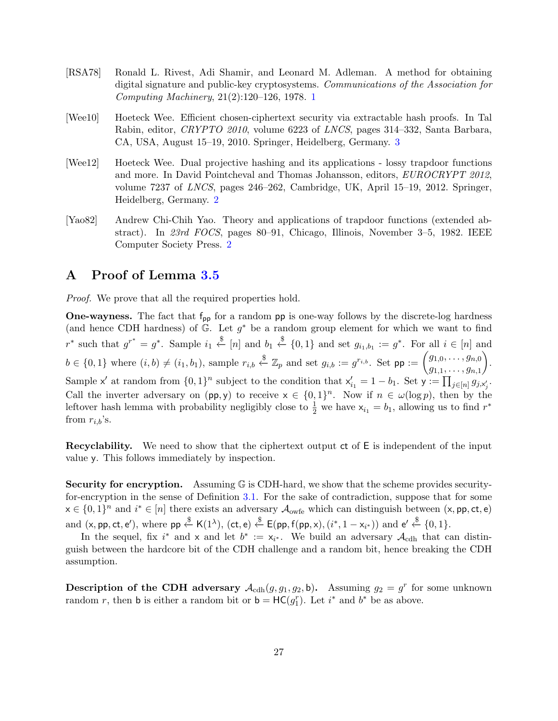- <span id="page-26-0"></span>[RSA78] Ronald L. Rivest, Adi Shamir, and Leonard M. Adleman. A method for obtaining digital signature and public-key cryptosystems. Communications of the Association for Computing Machinery, 21(2):120–126, 1978. [1](#page-0-1)
- <span id="page-26-3"></span>[Wee10] Hoeteck Wee. Efficient chosen-ciphertext security via extractable hash proofs. In Tal Rabin, editor, CRYPTO 2010, volume 6223 of LNCS, pages 314–332, Santa Barbara, CA, USA, August 15–19, 2010. Springer, Heidelberg, Germany. [3](#page-2-0)
- <span id="page-26-2"></span>[Wee12] Hoeteck Wee. Dual projective hashing and its applications - lossy trapdoor functions and more. In David Pointcheval and Thomas Johansson, editors, EUROCRYPT 2012, volume 7237 of LNCS, pages 246–262, Cambridge, UK, April 15–19, 2012. Springer, Heidelberg, Germany. [2](#page-1-1)
- <span id="page-26-1"></span>[Yao82] Andrew Chi-Chih Yao. Theory and applications of trapdoor functions (extended abstract). In 23rd FOCS, pages 80–91, Chicago, Illinois, November 3–5, 1982. IEEE Computer Society Press. [2](#page-1-1)

# <span id="page-26-4"></span>A Proof of Lemma [3.5](#page-9-2)

*Proof.* We prove that all the required properties hold.

**One-wayness.** The fact that  $f_{pp}$  for a random  $pp$  is one-way follows by the discrete-log hardness (and hence CDH hardness) of  $\mathbb{G}$ . Let  $g^*$  be a random group element for which we want to find  $r^*$  such that  $g^{r^*} = g^*$ . Sample  $i_1 \stackrel{\$}{\leftarrow} [n]$  and  $b_1 \stackrel{\$}{\leftarrow} \{0,1\}$  and set  $g_{i_1,b_1} := g^*$ . For all  $i \in [n]$  and  $b \in \{0,1\}$  where  $(i, b) \neq (i_1, b_1)$ , sample  $r_{i,b} \stackrel{\$}{\leftarrow} \mathbb{Z}_p$  and set  $g_{i,b} := g^{r_{i,b}}$ . Set  $pp := \begin{pmatrix} g_{1,0}, \ldots, g_{n,0} \\ \vdots \end{pmatrix}$  $g_{1,1}, \ldots, g_{n,1}$  . Sample x' at random from  $\{0,1\}^n$  subject to the condition that  $x'_{i_1} = 1 - b_1$ . Set  $y := \prod_{j \in [n]} g_{j,x'_j}$ . Call the inverter adversary on  $(pp, y)$  to receive  $x \in \{0, 1\}^n$ . Now if  $n \in \omega(\log p)$ , then by the leftover hash lemma with probability negligibly close to  $\frac{1}{2}$  we have  $x_{i_1} = b_1$ , allowing us to find  $r^*$ from  $r_{i,b}$ 's.

Recyclability. We need to show that the ciphertext output ct of E is independent of the input value y. This follows immediately by inspection.

**Security for encryption.** Assuming  $\mathbb{G}$  is CDH-hard, we show that the scheme provides securityfor-encryption in the sense of Definition [3.1.](#page-7-0) For the sake of contradiction, suppose that for some  $x \in \{0,1\}^n$  and  $i^* \in [n]$  there exists an adversary  $\mathcal{A}_{\text{owfe}}$  which can distinguish between  $(x, \text{pp}, \text{ct}, \text{e})$ and  $(x, pp, ct, e'),$  where  $pp \stackrel{\$}{\leftarrow} K(1^{\lambda}), (ct, e) \stackrel{\$}{\leftarrow} E(pp, f(pp, x), (i^*, 1 - x_{i^*}))$  and  $e' \stackrel{\$}{\leftarrow} \{0, 1\}.$ 

In the sequel, fix i<sup>\*</sup> and x and let  $b^* := x_{i^*}$ . We build an adversary  $\mathcal{A}_{\text{cdh}}$  that can distinguish between the hardcore bit of the CDH challenge and a random bit, hence breaking the CDH assumption.

**Description of the CDH adversary**  $\mathcal{A}_{\text{cdh}}(g, g_1, g_2, \mathsf{b})$ . Assuming  $g_2 = g^r$  for some unknown random r, then **b** is either a random bit or **b** =  $HC(g_1^r)$ . Let i<sup>\*</sup> and b<sup>\*</sup> be as above.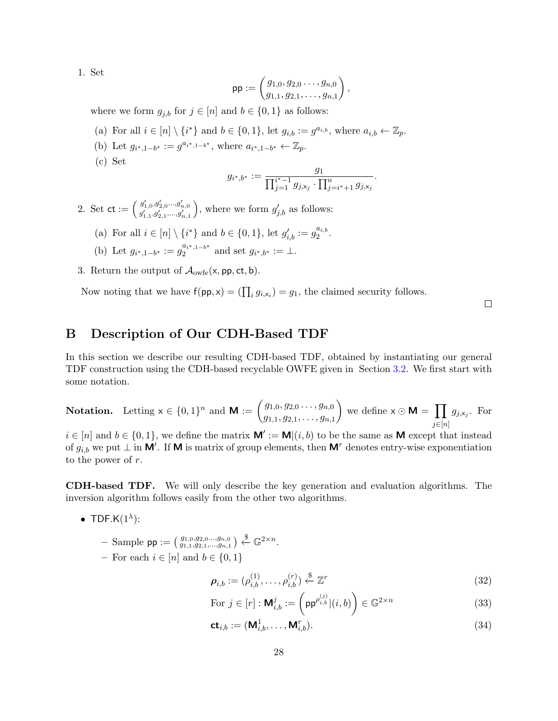1. Set

$$
\mathsf{pp} := \begin{pmatrix} g_{1,0}, g_{2,0} \dots, g_{n,0} \\ g_{1,1}, g_{2,1}, \dots, g_{n,1} \end{pmatrix},
$$

where we form  $g_{j,b}$  for  $j \in [n]$  and  $b \in \{0,1\}$  as follows:

- (a) For all  $i \in [n] \setminus \{i^*\}$  and  $b \in \{0, 1\}$ , let  $g_{i,b} := g^{a_{i,b}}$ , where  $a_{i,b} \leftarrow \mathbb{Z}_p$ .
- (b) Let  $g_{i^*,1-b^*} := g^{a_{i^*,1-b^*}},$  where  $a_{i^*,1-b^*} \leftarrow \mathbb{Z}_p$ .
- (c) Set

$$
g_{i^*,b^*} := \frac{g_1}{\prod_{j=1}^{i^*-1} g_{j,x_j} \cdot \prod_{j=i^*+1}^n g_{j,x_j}}.
$$

2. Set  $\mathsf{ct} := \left( \begin{smallmatrix} g'_{1,0}, g'_{2,0} \dots g'_{n,0} \ g'_{1,1}, g'_{2,1}, \dots, g'_{n,1} \end{smallmatrix} \right)$ ), where we form  $g'_{j,b}$  as follows:

- (a) For all  $i \in [n] \setminus \{i^*\}$  and  $b \in \{0, 1\}$ , let  $g'_{i,b} := g_2^{a_{i,b}}$  $\frac{a_{i,b}}{2}$ .
- (b) Let  $g_{i^*,1-b^*} := g_2^{a_{i^*,1-b^*}}$  $a_{i^*,1-b^*}$  and set  $g_{i^*,b^*} := \perp$ .
- 3. Return the output of  $\mathcal{A}_{\text{owfe}}(x, pp, ct, b)$ .

Now noting that we have  $f(p, x) = (\prod_i g_{i, x_i}) = g_1$ , the claimed security follows.

 $\Box$ 

# B Description of Our CDH-Based TDF

In this section we describe our resulting CDH-based TDF, obtained by instantiating our general TDF construction using the CDH-based recyclable OWFE given in Section [3.2.](#page-8-2) We first start with some notation.

**Notation.** Letting 
$$
\mathbf{x} \in \{0,1\}^n
$$
 and  $\mathbf{M} := \begin{pmatrix} g_{1,0}, g_{2,0}, \ldots, g_{n,0} \\ g_{1,1}, g_{2,1}, \ldots, g_{n,1} \end{pmatrix}$  we define  $\mathbf{x} \odot \mathbf{M} = \prod_{j \in [n]} g_{j, \mathbf{x}_j}$ . For

 $i \in [n]$  and  $b \in \{0,1\}$ , we define the matrix  $\mathbf{M}' := \mathbf{M} | (i, b)$  to be the same as M except that instead of  $g_{i,b}$  we put  $\perp$  in M'. If M is matrix of group elements, then M<sup>r</sup> denotes entry-wise exponentiation to the power of  $r$ .

CDH-based TDF. We will only describe the key generation and evaluation algorithms. The inversion algorithm follows easily from the other two algorithms.

- TDF.K $(1^{\lambda})$ :
	- Sample pp :=  $\left( \begin{smallmatrix} g_{1,0},g_{2,0},...,g_{n,0} \\ g_{1,1},g_{2,1},...,g_{n,1} \end{smallmatrix} \right)$   $\overset{\$}{\leftarrow} \mathbb{G}^{2\times n}$ .
	- For each  $i \in [n]$  and  $b \in \{0, 1\}$

$$
\boldsymbol{\rho}_{i,b} := (\rho_{i,b}^{(1)}, \dots, \rho_{i,b}^{(r)}) \stackrel{\$}{\leftarrow} \mathbb{Z}^r
$$
\n(32)

For 
$$
j \in [r]: \mathbf{M}_{i,b}^j := \left(\mathsf{pp}^{\rho_{i,b}^{(j)}}|(i,b)\right) \in \mathbb{G}^{2 \times n}
$$
 (33)

<span id="page-27-0"></span>
$$
\mathbf{ct}_{i,b} := (\mathbf{M}_{i,b}^1, \dots, \mathbf{M}_{i,b}^r). \tag{34}
$$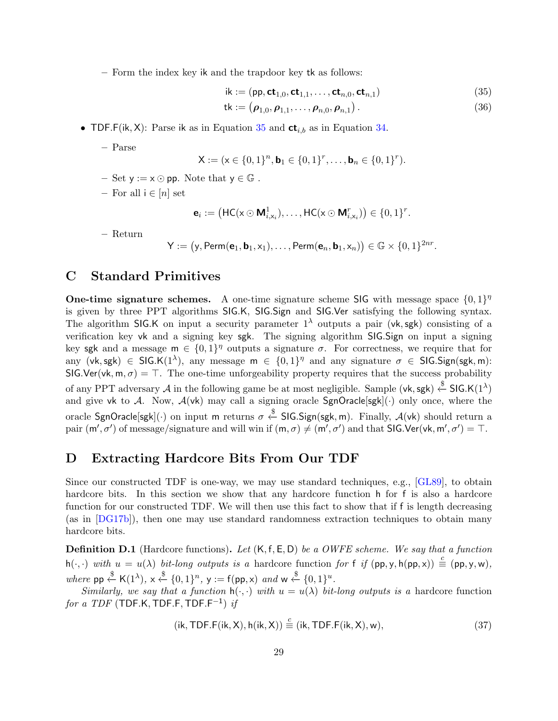<span id="page-28-2"></span>– Form the index key ik and the trapdoor key tk as follows:

<span id="page-28-3"></span>
$$
\mathsf{ik} := (\mathsf{pp}, \mathsf{ct}_{1,0}, \mathsf{ct}_{1,1}, \dots, \mathsf{ct}_{n,0}, \mathsf{ct}_{n,1}) \tag{35}
$$

$$
\mathsf{tk} := (\boldsymbol{\rho}_{1,0}, \boldsymbol{\rho}_{1,1}, \dots, \boldsymbol{\rho}_{n,0}, \boldsymbol{\rho}_{n,1}). \tag{36}
$$

• TDF.F(ik, X): Parse ik as in Equation [35](#page-28-3) and  $ct_{i,b}$  as in Equation [34.](#page-27-0)

– Parse

$$
\mathsf{X} := (\mathsf{x} \in \{0,1\}^n, \mathsf{b}_1 \in \{0,1\}^r, \dots, \mathsf{b}_n \in \{0,1\}^r).
$$

- $-$  Set  $y := x \odot pp$ . Note that  $y \in \mathbb{G}$ .
- For all  $i \in [n]$  set

$$
\mathbf{e}_i := \left(\mathsf{HC}(\mathsf{x} \odot \mathsf{M}_{i,x_i}^1), \ldots, \mathsf{HC}(\mathsf{x} \odot \mathsf{M}_{i,x_i}^r)\right) \in \{0,1\}^r.
$$

– Return

 $\mathsf{Y} := \big(\mathsf{y}, \mathsf{Perm}(\mathbf{e}_1, \mathbf{b}_1, \mathsf{x}_1), \ldots, \mathsf{Perm}(\mathbf{e}_n, \mathbf{b}_1, \mathsf{x}_n)\big) \in \mathbb{G} \times \{0, 1\}^{2nr}.$ 

# <span id="page-28-1"></span>C Standard Primitives

**One-time signature schemes.** A one-time signature scheme SIG with message space  $\{0,1\}^{\eta}$ is given by three PPT algorithms SIG.K, SIG.Sign and SIG.Ver satisfying the following syntax. The algorithm SIG.K on input a security parameter  $1^{\lambda}$  outputs a pair (vk, sgk) consisting of a verification key vk and a signing key sgk. The signing algorithm SIG.Sign on input a signing key sgk and a message  $m \in \{0,1\}^{\eta}$  outputs a signature  $\sigma$ . For correctness, we require that for any (vk, sgk)  $\in$  SIG.K(1<sup> $\lambda$ </sup>), any message  $m \in \{0,1\}^{\eta}$  and any signature  $\sigma \in$  SIG.Sign(sgk, m): SIG.Ver(vk, m,  $\sigma$ ) = T. The one-time unforgeability property requires that the success probability of any PPT adversary A in the following game be at most negligible. Sample (vk, sgk)  $\stackrel{\$}{\leftarrow}$  SIG.K(1<sup> $\lambda$ </sup>) and give vk to A. Now,  $A(vk)$  may call a signing oracle  $SgnOracle[sgk](.)$  only once, where the oracle SgnOracle[sgk]( $\cdot$ ) on input m returns  $\sigma \overset{\$}{\leftarrow}$  SIG.Sign(sgk, m). Finally,  $\mathcal{A}(\mathsf{vk})$  should return a pair  $(m', \sigma')$  of message/signature and will win if  $(m, \sigma) \neq (m', \sigma')$  and that SIG.Ver(vk, m',  $\sigma'$ ) = T.

# <span id="page-28-0"></span>D Extracting Hardcore Bits From Our TDF

Since our constructed TDF is one-way, we may use standard techniques, e.g., [\[GL89\]](#page-25-8), to obtain hardcore bits. In this section we show that any hardcore function h for f is also a hardcore function for our constructed TDF. We will then use this fact to show that if f is length decreasing (as in [\[DG17b\]](#page-24-4)), then one may use standard randomness extraction techniques to obtain many hardcore bits.

**Definition D.1** (Hardcore functions). Let  $(K, f, E, D)$  be a OWFE scheme. We say that a function  $h(\cdot, \cdot)$  with  $u = u(\lambda)$  bit-long outputs is a hardcore function for f if  $(pp, y, h(pp, x)) \stackrel{c}{=} (pp, y, w)$ , where  $pp \stackrel{\$}{\leftarrow} K(1^{\lambda}), x \stackrel{\$}{\leftarrow} \{0, 1\}^n, y := f(pp, x) \text{ and } w \stackrel{\$}{\leftarrow} \{0, 1\}^u.$ 

Similarly, we say that a function  $h(\cdot, \cdot)$  with  $u = u(\lambda)$  bit-long outputs is a hardcore function  $\emph{for a TDF (TDF.K, TDF.F, TDF.F^{-1}) } \emph{if}$ 

$$
(ik, TDF.F(ik, X), h(ik, X)) \stackrel{\scriptscriptstyle\mathsf{L}}{=} (ik, TDF.F(ik, X), w), \tag{37}
$$